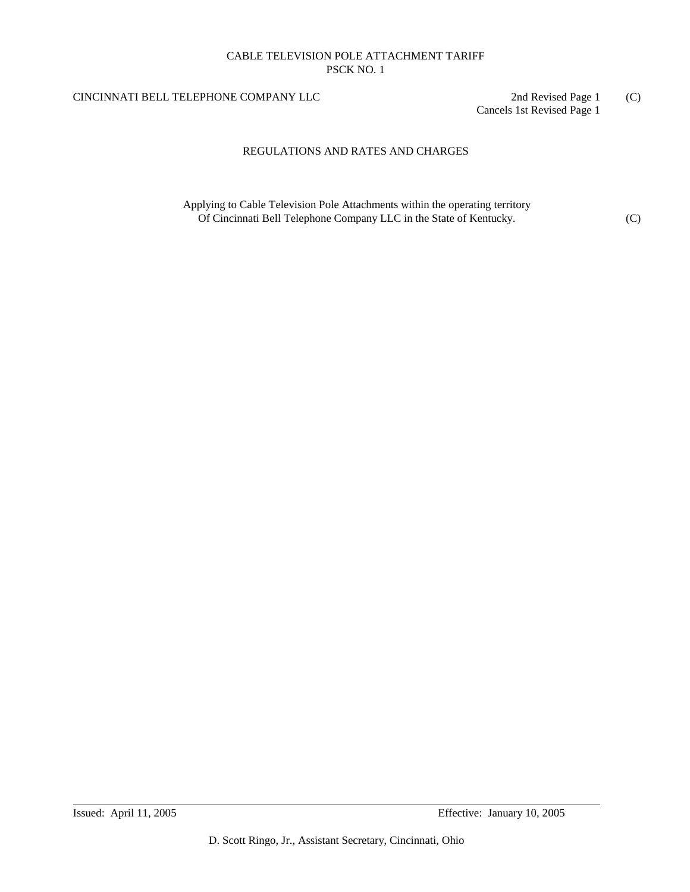## CINCINNATI BELL TELEPHONE COMPANY LLC 2nd Revised Page 1 (C)

Cancels 1st Revised Page 1

## REGULATIONS AND RATES AND CHARGES

Applying to Cable Television Pole Attachments within the operating territory Of Cincinnati Bell Telephone Company LLC in the State of Kentucky. (C)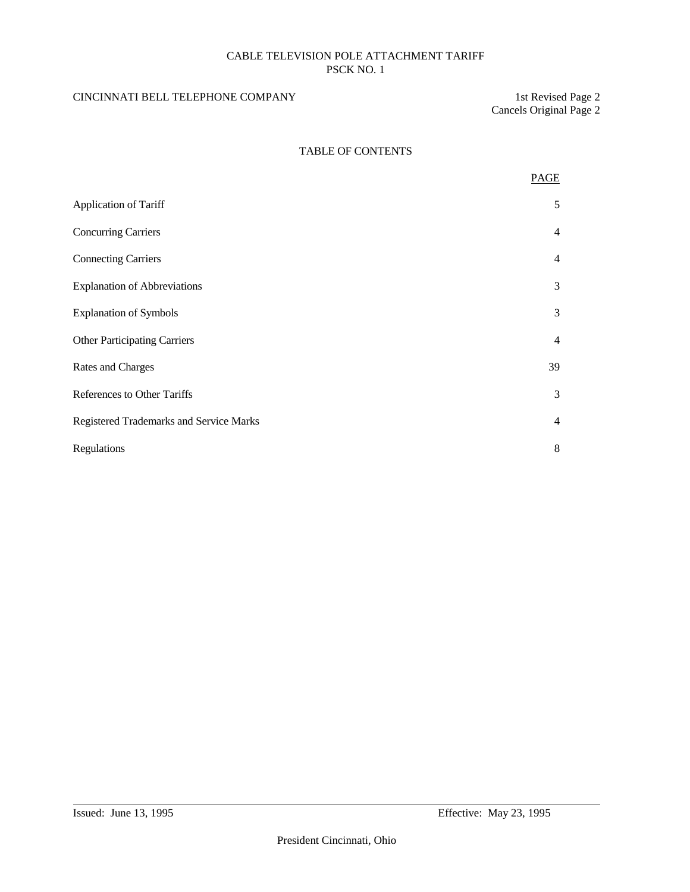## CINCINNATI BELL TELEPHONE COMPANY 1st Revised Page 2

Cancels Original Page 2

## TABLE OF CONTENTS

|                                         | PAGE           |
|-----------------------------------------|----------------|
| Application of Tariff                   | 5              |
| <b>Concurring Carriers</b>              | $\overline{4}$ |
| <b>Connecting Carriers</b>              | $\overline{4}$ |
| <b>Explanation of Abbreviations</b>     | 3              |
| <b>Explanation of Symbols</b>           | 3              |
| <b>Other Participating Carriers</b>     | $\overline{4}$ |
| Rates and Charges                       | 39             |
| References to Other Tariffs             | 3              |
| Registered Trademarks and Service Marks | $\overline{4}$ |
| Regulations                             | 8              |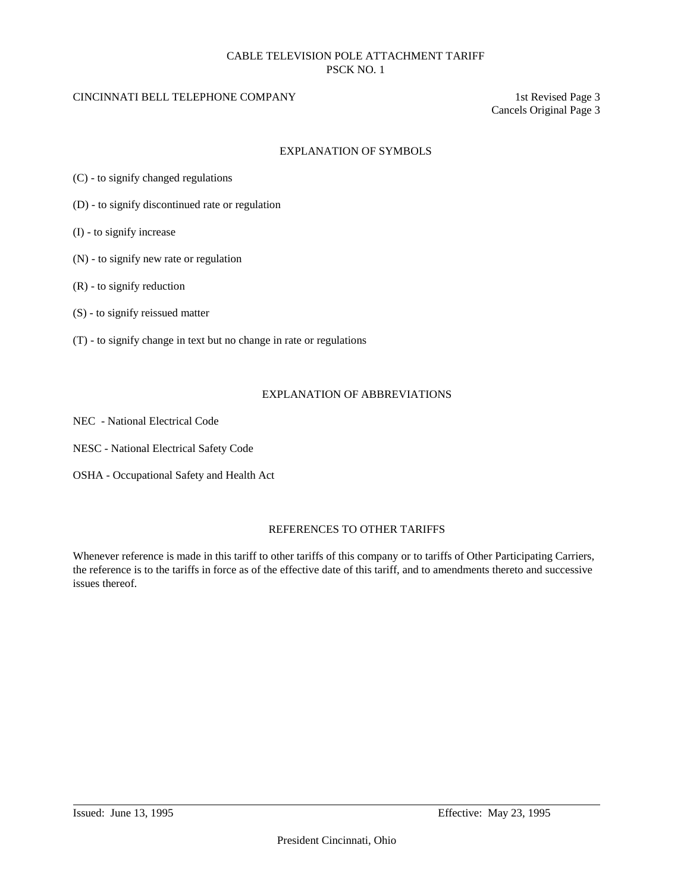### CINCINNATI BELL TELEPHONE COMPANY 1st Revised Page 3

Cancels Original Page 3

### EXPLANATION OF SYMBOLS

- (C) to signify changed regulations
- (D) to signify discontinued rate or regulation
- (I) to signify increase
- (N) to signify new rate or regulation
- (R) to signify reduction
- (S) to signify reissued matter
- (T) to signify change in text but no change in rate or regulations

### EXPLANATION OF ABBREVIATIONS

- NEC National Electrical Code
- NESC National Electrical Safety Code
- OSHA Occupational Safety and Health Act

### REFERENCES TO OTHER TARIFFS

Whenever reference is made in this tariff to other tariffs of this company or to tariffs of Other Participating Carriers, the reference is to the tariffs in force as of the effective date of this tariff, and to amendments thereto and successive issues thereof.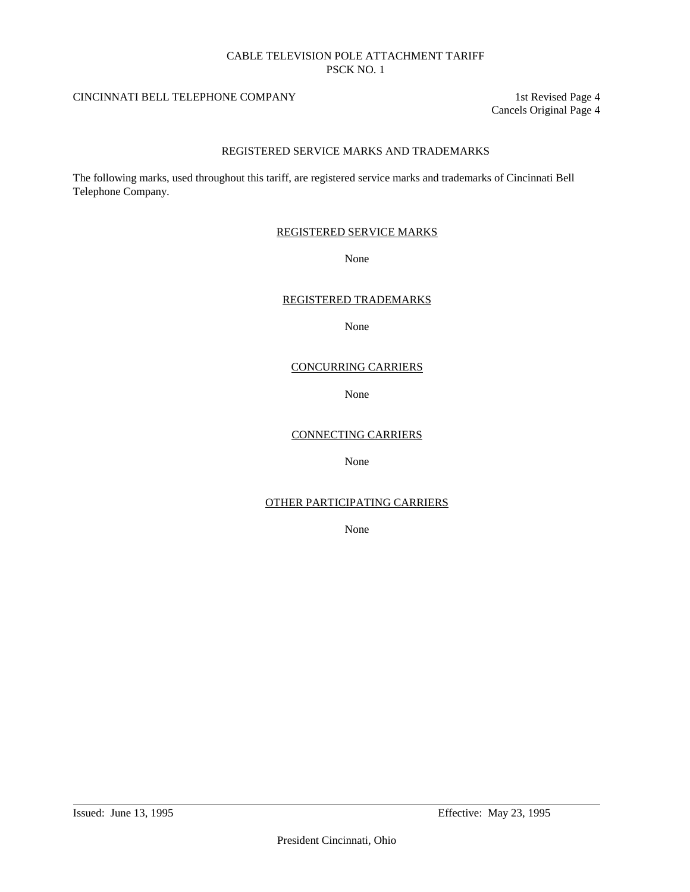## CINCINNATI BELL TELEPHONE COMPANY 1st Revised Page 4

Cancels Original Page 4

## REGISTERED SERVICE MARKS AND TRADEMARKS

The following marks, used throughout this tariff, are registered service marks and trademarks of Cincinnati Bell Telephone Company.

### REGISTERED SERVICE MARKS

### None

### REGISTERED TRADEMARKS

None

### CONCURRING CARRIERS

None

### CONNECTING CARRIERS

None

## OTHER PARTICIPATING CARRIERS

None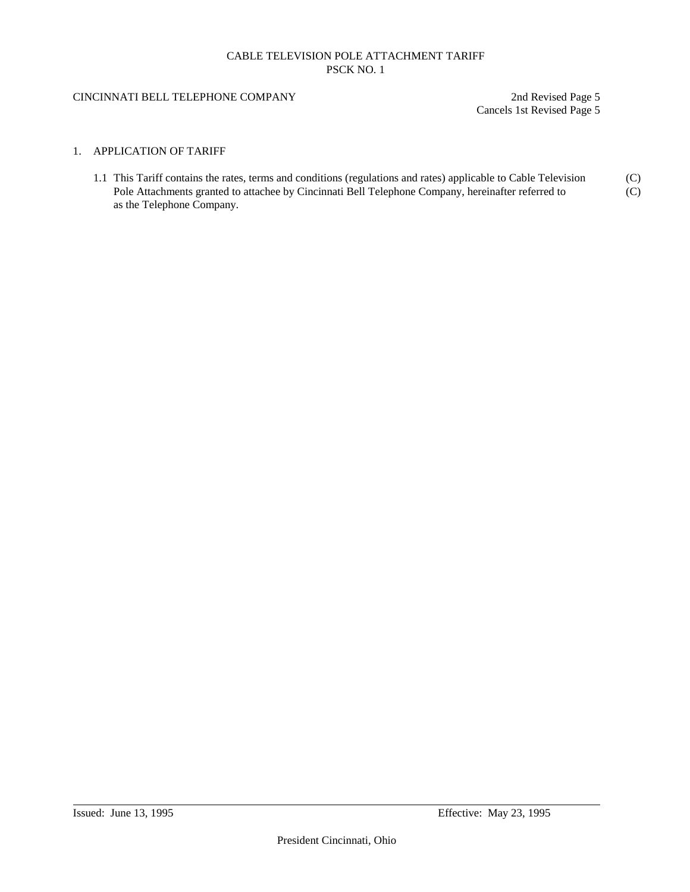### CINCINNATI BELL TELEPHONE COMPANY 2nd Revised Page 5

Cancels 1st Revised Page 5

### 1. APPLICATION OF TARIFF

1.1 This Tariff contains the rates, terms and conditions (regulations and rates) applicable to Cable Television (C) Pole Attachments granted to attachee by Cincinnati Bell Telephone Company, hereinafter referred to (C) as the Telephone Company.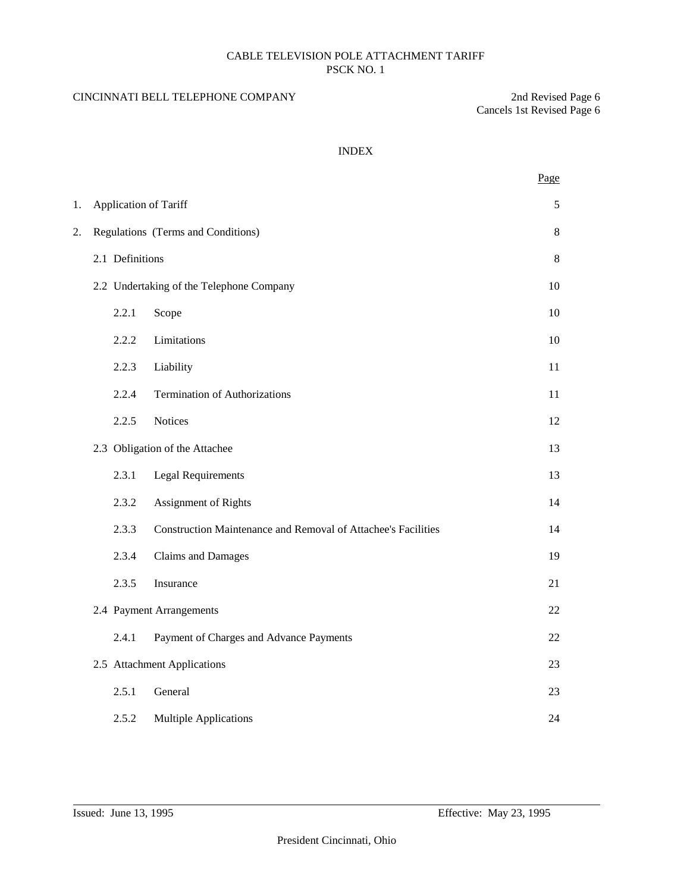## CINCINNATI BELL TELEPHONE COMPANY 2nd Revised Page 6

Cancels 1st Revised Page 6

## INDEX

|    |                              |                                                               | Page  |
|----|------------------------------|---------------------------------------------------------------|-------|
| 1. | <b>Application of Tariff</b> |                                                               | 5     |
| 2. |                              | Regulations (Terms and Conditions)                            | 8     |
|    | 2.1 Definitions              |                                                               | $8\,$ |
|    |                              | 2.2 Undertaking of the Telephone Company                      | 10    |
|    | 2.2.1                        | Scope                                                         | 10    |
|    | 2.2.2                        | Limitations                                                   | 10    |
|    | 2.2.3                        | Liability                                                     | 11    |
|    | 2.2.4                        | <b>Termination of Authorizations</b>                          | 11    |
|    | 2.2.5                        | <b>Notices</b>                                                | 12    |
|    |                              | 2.3 Obligation of the Attachee                                | 13    |
|    | 2.3.1                        | <b>Legal Requirements</b>                                     | 13    |
|    | 2.3.2                        | Assignment of Rights                                          | 14    |
|    | 2.3.3                        | Construction Maintenance and Removal of Attachee's Facilities | 14    |
|    | 2.3.4                        | Claims and Damages                                            | 19    |
|    | 2.3.5                        | Insurance                                                     | 21    |
|    |                              | 2.4 Payment Arrangements                                      | 22    |
|    | 2.4.1                        | Payment of Charges and Advance Payments                       | 22    |
|    |                              | 2.5 Attachment Applications                                   | 23    |
|    | 2.5.1                        | General                                                       | 23    |
|    | 2.5.2                        | <b>Multiple Applications</b>                                  | 24    |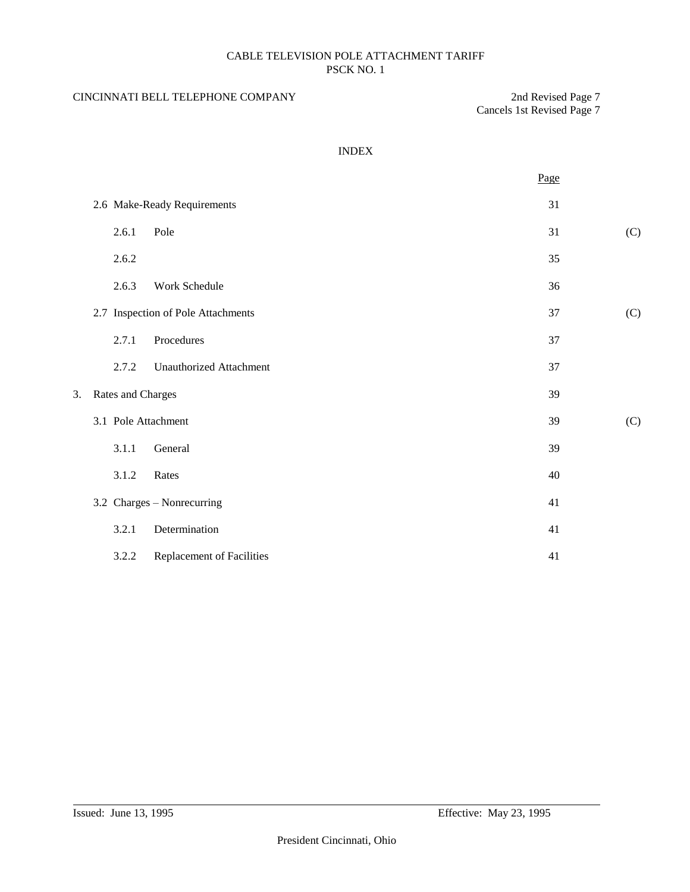## CINCINNATI BELL TELEPHONE COMPANY 2nd Revised Page 7

Cancels 1st Revised Page 7

## INDEX

|    |                   |                                    | Page |     |
|----|-------------------|------------------------------------|------|-----|
|    |                   | 2.6 Make-Ready Requirements        | 31   |     |
|    | 2.6.1             | Pole                               | 31   | (C) |
|    | 2.6.2             |                                    | 35   |     |
|    | 2.6.3             | Work Schedule                      | 36   |     |
|    |                   | 2.7 Inspection of Pole Attachments | 37   | (C) |
|    | 2.7.1             | Procedures                         | 37   |     |
|    | 2.7.2             | <b>Unauthorized Attachment</b>     | 37   |     |
| 3. | Rates and Charges |                                    | 39   |     |
|    |                   | 3.1 Pole Attachment                | 39   | (C) |
|    | 3.1.1             | General                            | 39   |     |
|    | 3.1.2             | Rates                              | 40   |     |
|    |                   | 3.2 Charges - Nonrecurring         | 41   |     |
|    | 3.2.1             | Determination                      | 41   |     |
|    | 3.2.2             | <b>Replacement of Facilities</b>   | 41   |     |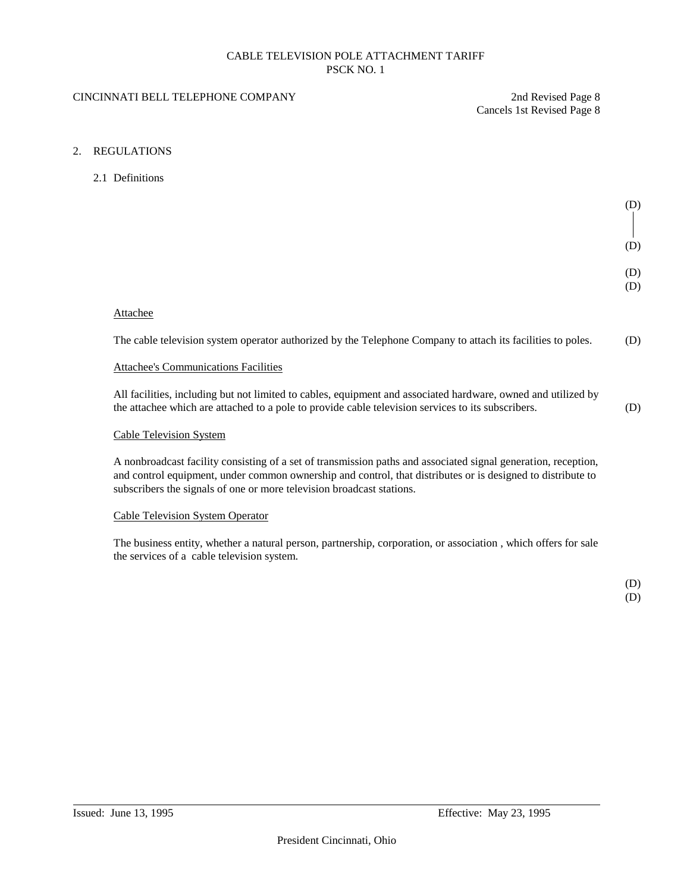### CINCINNATI BELL TELEPHONE COMPANY 2nd Revised Page 8

Cancels 1st Revised Page 8

### 2. REGULATIONS

2.1 Definitions

| (D)        |
|------------|
| (D)        |
| (D)<br>(D) |

#### Attachee

The cable television system operator authorized by the Telephone Company to attach its facilities to poles. (D)

#### Attachee's Communications Facilities

All facilities, including but not limited to cables, equipment and associated hardware, owned and utilized by the attachee which are attached to a pole to provide cable television services to its subscribers. (D)

#### Cable Television System

A nonbroadcast facility consisting of a set of transmission paths and associated signal generation, reception, and control equipment, under common ownership and control, that distributes or is designed to distribute to subscribers the signals of one or more television broadcast stations.

## Cable Television System Operator

The business entity, whether a natural person, partnership, corporation, or association , which offers for sale the services of a cable television system.

> (D) (D)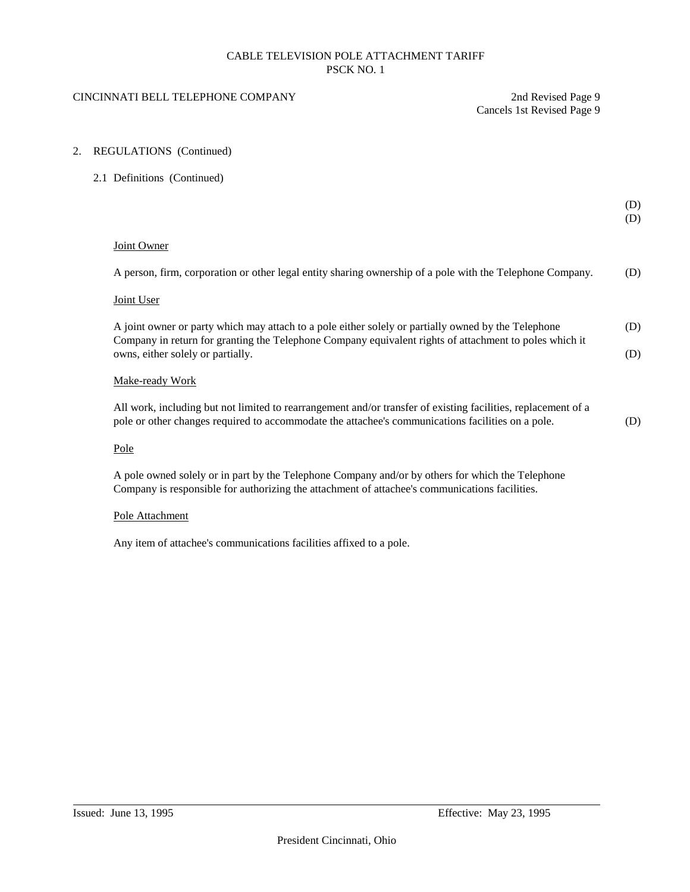## CINCINNATI BELL TELEPHONE COMPANY 2nd Revised Page 9

Cancels 1st Revised Page 9

### 2. REGULATIONS (Continued)

#### 2.1 Definitions (Continued)

|                                                                                                                                                                                                                                                    | (D)<br>(D) |
|----------------------------------------------------------------------------------------------------------------------------------------------------------------------------------------------------------------------------------------------------|------------|
| Joint Owner                                                                                                                                                                                                                                        |            |
| A person, firm, corporation or other legal entity sharing ownership of a pole with the Telephone Company.                                                                                                                                          | (D)        |
| Joint User                                                                                                                                                                                                                                         |            |
| A joint owner or party which may attach to a pole either solely or partially owned by the Telephone<br>Company in return for granting the Telephone Company equivalent rights of attachment to poles which it<br>owns, either solely or partially. | (D)<br>(D) |
| Make-ready Work                                                                                                                                                                                                                                    |            |
| All work, including but not limited to rearrangement and/or transfer of existing facilities, replacement of a<br>pole or other changes required to accommodate the attachee's communications facilities on a pole.                                 | (D)        |
| Pole                                                                                                                                                                                                                                               |            |

A pole owned solely or in part by the Telephone Company and/or by others for which the Telephone Company is responsible for authorizing the attachment of attachee's communications facilities.

#### Pole Attachment

Any item of attachee's communications facilities affixed to a pole.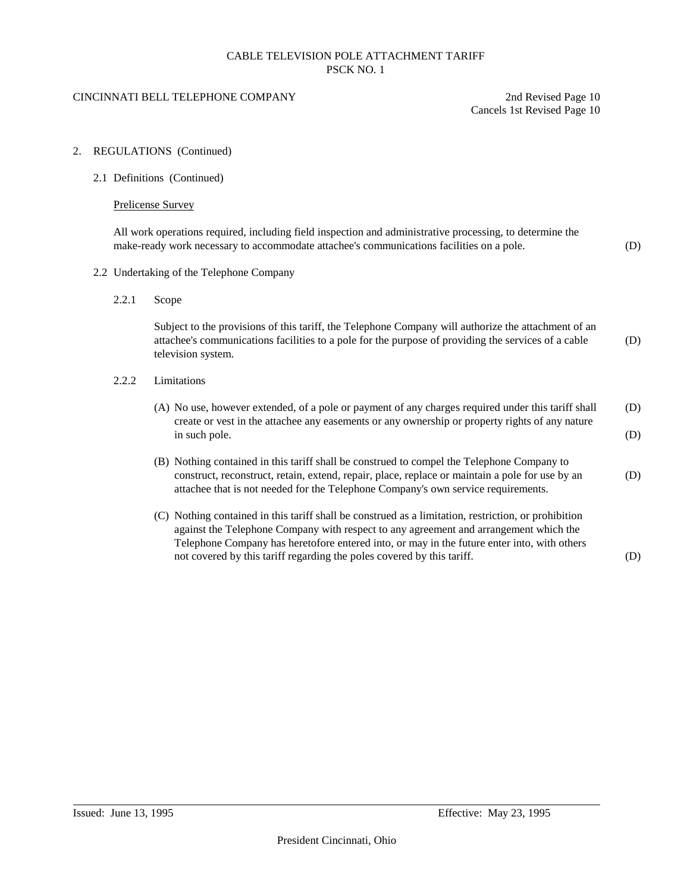#### CINCINNATI BELL TELEPHONE COMPANY 2nd Revised Page 10

Cancels 1st Revised Page 10

#### 2. REGULATIONS (Continued)

2.1 Definitions (Continued)

### Prelicense Survey

All work operations required, including field inspection and administrative processing, to determine the make-ready work necessary to accommodate attachee's communications facilities on a pole. (D)

- 2.2 Undertaking of the Telephone Company
	- 2.2.1 Scope

Subject to the provisions of this tariff, the Telephone Company will authorize the attachment of an attachee's communications facilities to a pole for the purpose of providing the services of a cable (D) television system.

- 2.2.2 Limitations
	- (A) No use, however extended, of a pole or payment of any charges required under this tariff shall (D) create or vest in the attachee any easements or any ownership or property rights of any nature in such pole. (D)
	- (B) Nothing contained in this tariff shall be construed to compel the Telephone Company to construct, reconstruct, retain, extend, repair, place, replace or maintain a pole for use by an (D) attachee that is not needed for the Telephone Company's own service requirements.
	- (C) Nothing contained in this tariff shall be construed as a limitation, restriction, or prohibition against the Telephone Company with respect to any agreement and arrangement which the Telephone Company has heretofore entered into, or may in the future enter into, with others not covered by this tariff regarding the poles covered by this tariff. (D)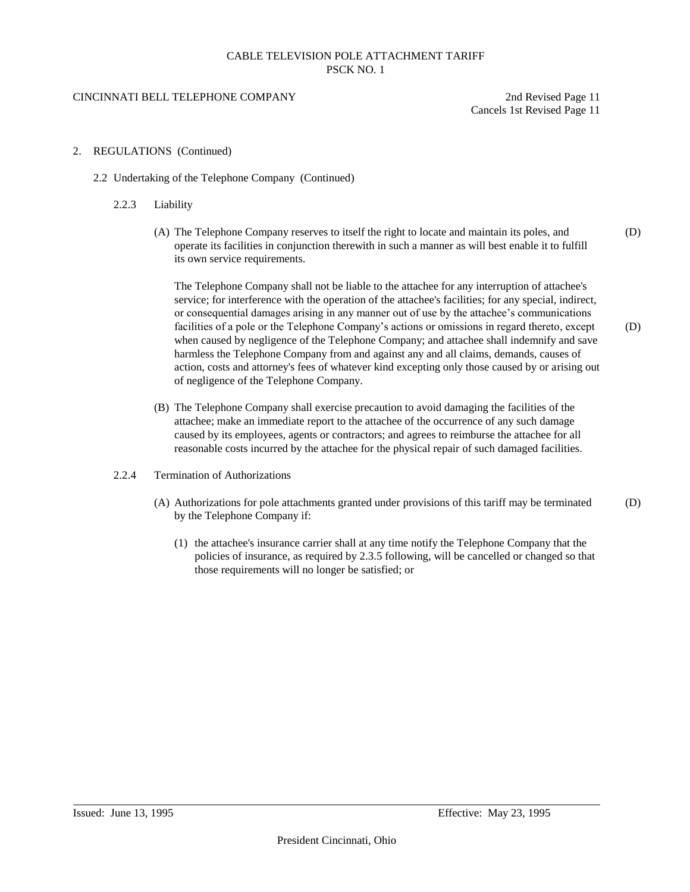#### CINCINNATI BELL TELEPHONE COMPANY 2nd Revised Page 11

Cancels 1st Revised Page 11

### 2. REGULATIONS (Continued)

- 2.2 Undertaking of the Telephone Company (Continued)
	- 2.2.3 Liability
		- (A) The Telephone Company reserves to itself the right to locate and maintain its poles, and (D) operate its facilities in conjunction therewith in such a manner as will best enable it to fulfill its own service requirements.

The Telephone Company shall not be liable to the attachee for any interruption of attachee's service; for interference with the operation of the attachee's facilities; for any special, indirect, or consequential damages arising in any manner out of use by the attachee's communications facilities of a pole or the Telephone Company's actions or omissions in regard thereto, except (D) when caused by negligence of the Telephone Company; and attachee shall indemnify and save harmless the Telephone Company from and against any and all claims, demands, causes of action, costs and attorney's fees of whatever kind excepting only those caused by or arising out of negligence of the Telephone Company.

- (B) The Telephone Company shall exercise precaution to avoid damaging the facilities of the attachee; make an immediate report to the attachee of the occurrence of any such damage caused by its employees, agents or contractors; and agrees to reimburse the attachee for all reasonable costs incurred by the attachee for the physical repair of such damaged facilities.
- 2.2.4 Termination of Authorizations
	- (A) Authorizations for pole attachments granted under provisions of this tariff may be terminated (D) by the Telephone Company if:
		- (1) the attachee's insurance carrier shall at any time notify the Telephone Company that the policies of insurance, as required by 2.3.5 following, will be cancelled or changed so that those requirements will no longer be satisfied; or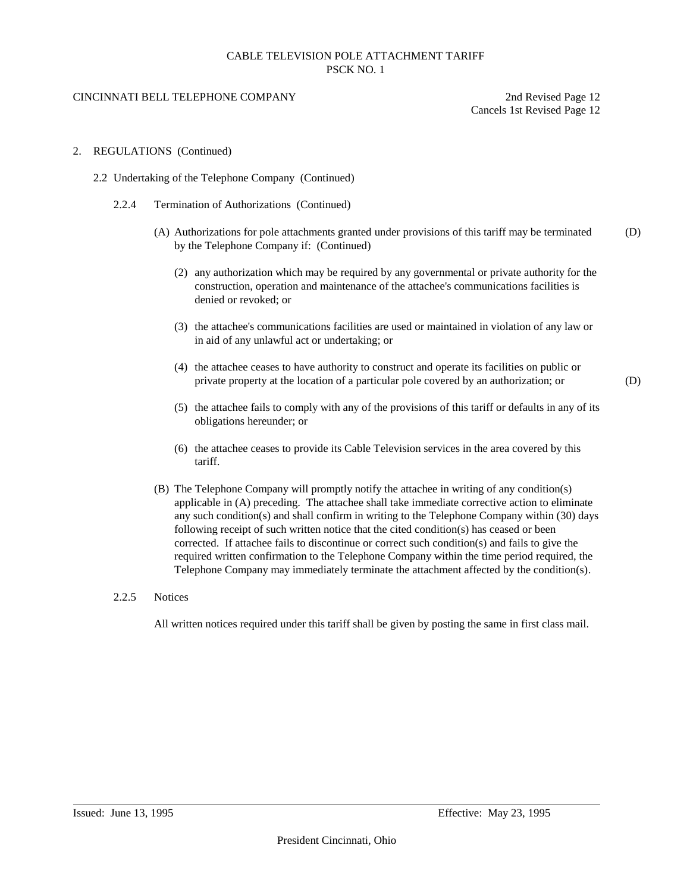#### CINCINNATI BELL TELEPHONE COMPANY 2nd Revised Page 12

Cancels 1st Revised Page 12

#### 2. REGULATIONS (Continued)

- 2.2 Undertaking of the Telephone Company (Continued)
	- 2.2.4 Termination of Authorizations (Continued)
		- (A) Authorizations for pole attachments granted under provisions of this tariff may be terminated (D) by the Telephone Company if: (Continued)
			- (2) any authorization which may be required by any governmental or private authority for the construction, operation and maintenance of the attachee's communications facilities is denied or revoked; or
			- (3) the attachee's communications facilities are used or maintained in violation of any law or in aid of any unlawful act or undertaking; or
			- (4) the attachee ceases to have authority to construct and operate its facilities on public or private property at the location of a particular pole covered by an authorization; or (D)

- (5) the attachee fails to comply with any of the provisions of this tariff or defaults in any of its obligations hereunder; or
- (6) the attachee ceases to provide its Cable Television services in the area covered by this tariff.
- (B) The Telephone Company will promptly notify the attachee in writing of any condition(s) applicable in (A) preceding. The attachee shall take immediate corrective action to eliminate any such condition(s) and shall confirm in writing to the Telephone Company within (30) days following receipt of such written notice that the cited condition(s) has ceased or been corrected. If attachee fails to discontinue or correct such condition(s) and fails to give the required written confirmation to the Telephone Company within the time period required, the Telephone Company may immediately terminate the attachment affected by the condition(s).

#### 2.2.5 Notices

All written notices required under this tariff shall be given by posting the same in first class mail.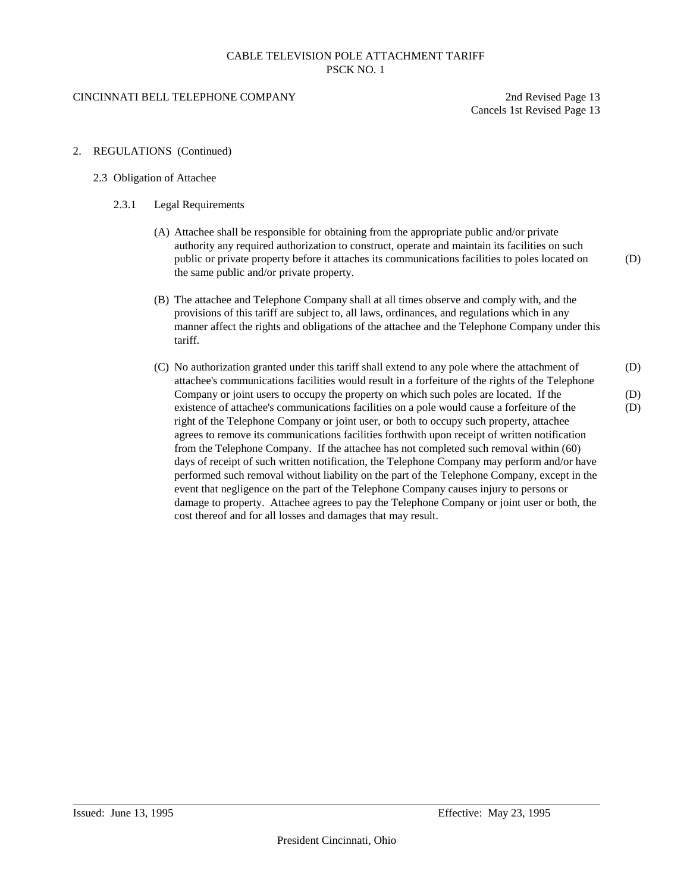#### CINCINNATI BELL TELEPHONE COMPANY 2nd Revised Page 13

Cancels 1st Revised Page 13

2. REGULATIONS (Continued)

#### 2.3 Obligation of Attachee

- 2.3.1 Legal Requirements
	- (A) Attachee shall be responsible for obtaining from the appropriate public and/or private authority any required authorization to construct, operate and maintain its facilities on such public or private property before it attaches its communications facilities to poles located on (D) the same public and/or private property.
	- (B) The attachee and Telephone Company shall at all times observe and comply with, and the provisions of this tariff are subject to, all laws, ordinances, and regulations which in any manner affect the rights and obligations of the attachee and the Telephone Company under this tariff.
	- (C) No authorization granted under this tariff shall extend to any pole where the attachment of (D) attachee's communications facilities would result in a forfeiture of the rights of the Telephone Company or joint users to occupy the property on which such poles are located. If the (D) existence of attachee's communications facilities on a pole would cause a forfeiture of the (D) right of the Telephone Company or joint user, or both to occupy such property, attachee agrees to remove its communications facilities forthwith upon receipt of written notification from the Telephone Company. If the attachee has not completed such removal within (60) days of receipt of such written notification, the Telephone Company may perform and/or have performed such removal without liability on the part of the Telephone Company, except in the event that negligence on the part of the Telephone Company causes injury to persons or damage to property. Attachee agrees to pay the Telephone Company or joint user or both, the cost thereof and for all losses and damages that may result.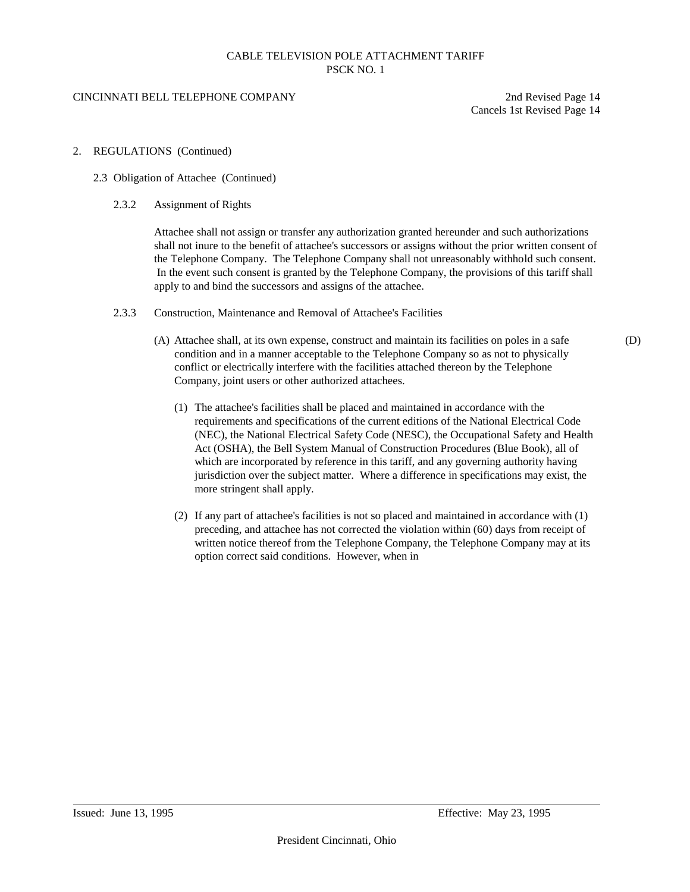#### CINCINNATI BELL TELEPHONE COMPANY 2nd Revised Page 14

Cancels 1st Revised Page 14

#### 2. REGULATIONS (Continued)

- 2.3 Obligation of Attachee (Continued)
	- 2.3.2 Assignment of Rights

Attachee shall not assign or transfer any authorization granted hereunder and such authorizations shall not inure to the benefit of attachee's successors or assigns without the prior written consent of the Telephone Company. The Telephone Company shall not unreasonably withhold such consent. In the event such consent is granted by the Telephone Company, the provisions of this tariff shall apply to and bind the successors and assigns of the attachee.

- 2.3.3 Construction, Maintenance and Removal of Attachee's Facilities
	- (A) Attachee shall, at its own expense, construct and maintain its facilities on poles in a safe (D) condition and in a manner acceptable to the Telephone Company so as not to physically conflict or electrically interfere with the facilities attached thereon by the Telephone Company, joint users or other authorized attachees.
		- (1) The attachee's facilities shall be placed and maintained in accordance with the requirements and specifications of the current editions of the National Electrical Code (NEC), the National Electrical Safety Code (NESC), the Occupational Safety and Health Act (OSHA), the Bell System Manual of Construction Procedures (Blue Book), all of which are incorporated by reference in this tariff, and any governing authority having jurisdiction over the subject matter. Where a difference in specifications may exist, the more stringent shall apply.
		- (2) If any part of attachee's facilities is not so placed and maintained in accordance with (1) preceding, and attachee has not corrected the violation within (60) days from receipt of written notice thereof from the Telephone Company, the Telephone Company may at its option correct said conditions. However, when in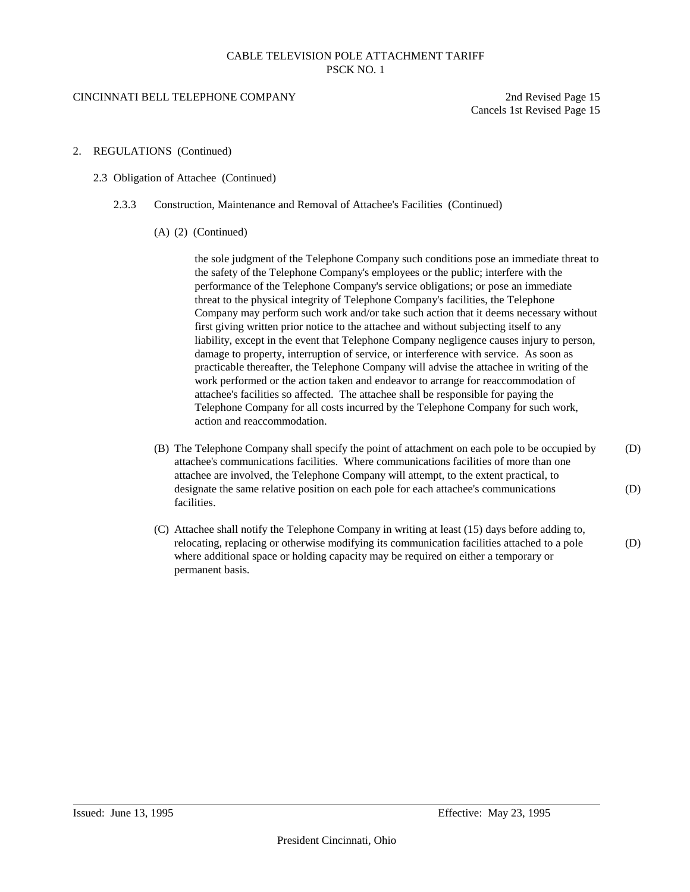#### CINCINNATI BELL TELEPHONE COMPANY 2nd Revised Page 15

Cancels 1st Revised Page 15

- 2. REGULATIONS (Continued)
	- 2.3 Obligation of Attachee (Continued)
		- 2.3.3 Construction, Maintenance and Removal of Attachee's Facilities (Continued)
			- (A) (2) (Continued)

the sole judgment of the Telephone Company such conditions pose an immediate threat to the safety of the Telephone Company's employees or the public; interfere with the performance of the Telephone Company's service obligations; or pose an immediate threat to the physical integrity of Telephone Company's facilities, the Telephone Company may perform such work and/or take such action that it deems necessary without first giving written prior notice to the attachee and without subjecting itself to any liability, except in the event that Telephone Company negligence causes injury to person, damage to property, interruption of service, or interference with service. As soon as practicable thereafter, the Telephone Company will advise the attachee in writing of the work performed or the action taken and endeavor to arrange for reaccommodation of attachee's facilities so affected. The attachee shall be responsible for paying the Telephone Company for all costs incurred by the Telephone Company for such work, action and reaccommodation.

- (B) The Telephone Company shall specify the point of attachment on each pole to be occupied by (D) attachee's communications facilities. Where communications facilities of more than one attachee are involved, the Telephone Company will attempt, to the extent practical, to designate the same relative position on each pole for each attachee's communications (D) facilities.
- (C) Attachee shall notify the Telephone Company in writing at least (15) days before adding to, relocating, replacing or otherwise modifying its communication facilities attached to a pole (D) where additional space or holding capacity may be required on either a temporary or permanent basis.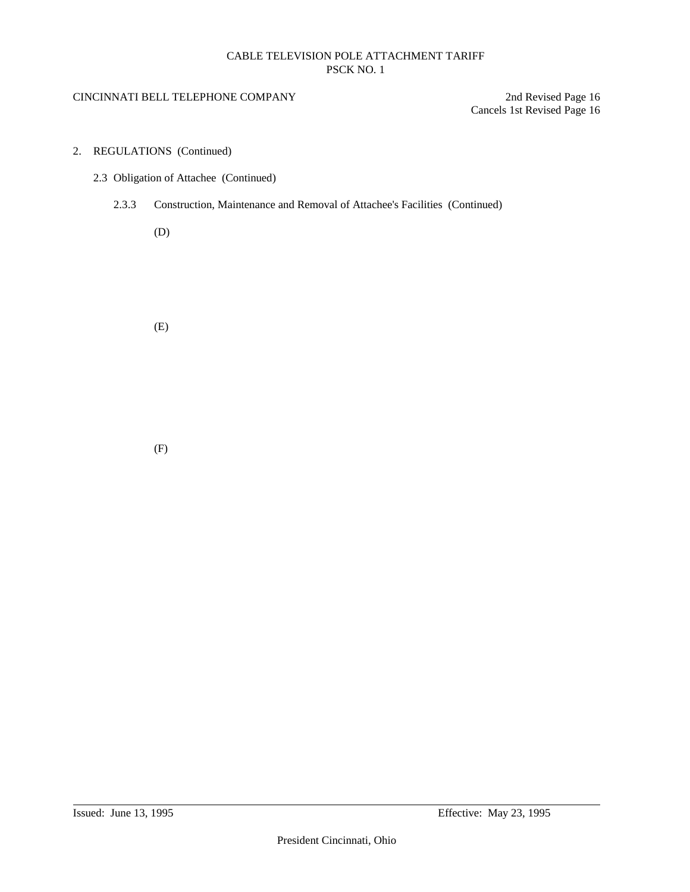## CINCINNATI BELL TELEPHONE COMPANY 2nd Revised Page 16

Cancels 1st Revised Page 16

- 2. REGULATIONS (Continued)
	- 2.3 Obligation of Attachee (Continued)
		- 2.3.3 Construction, Maintenance and Removal of Attachee's Facilities (Continued)

(D)

(E)

(F)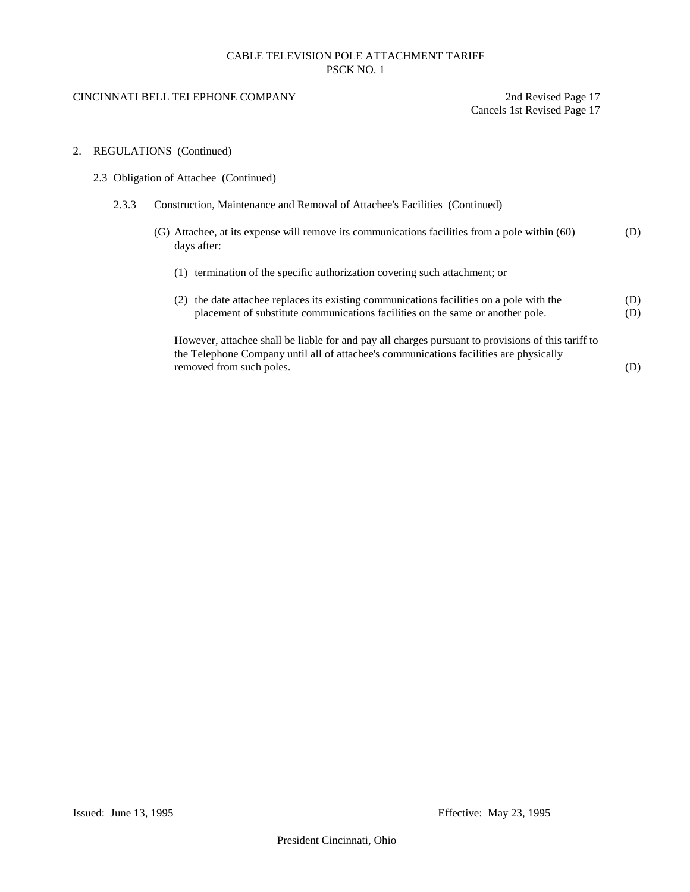#### CINCINNATI BELL TELEPHONE COMPANY 2nd Revised Page 17

Cancels 1st Revised Page 17

#### 2. REGULATIONS (Continued)

- 2.3 Obligation of Attachee (Continued)
	- 2.3.3 Construction, Maintenance and Removal of Attachee's Facilities (Continued)
		- (G) Attachee, at its expense will remove its communications facilities from a pole within (60) (D) days after:
			- (1) termination of the specific authorization covering such attachment; or
			- (2) the date attachee replaces its existing communications facilities on a pole with the (D) placement of substitute communications facilities on the same or another pole. (D)

However, attachee shall be liable for and pay all charges pursuant to provisions of this tariff to the Telephone Company until all of attachee's communications facilities are physically removed from such poles. (D)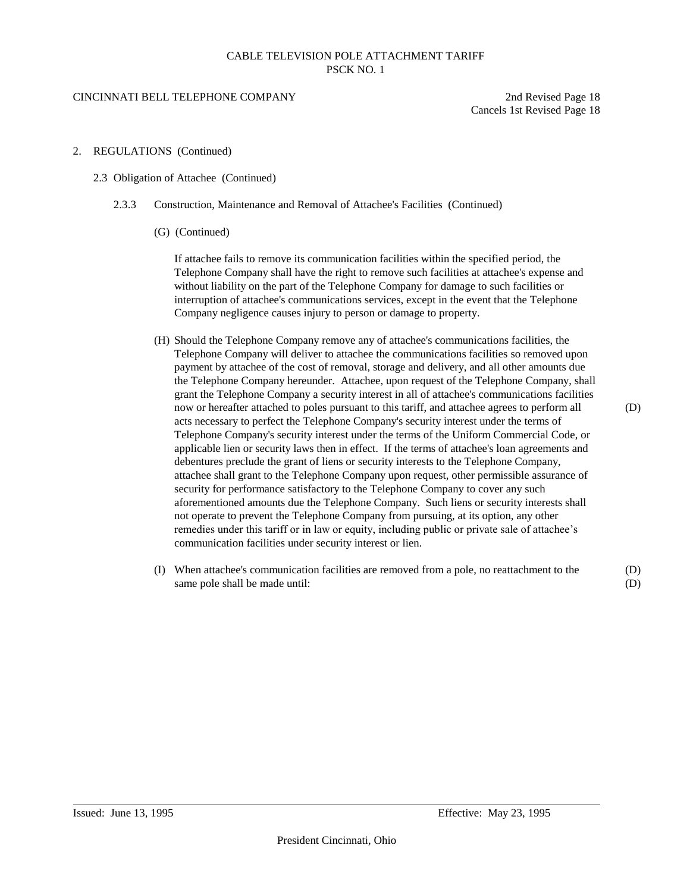#### CINCINNATI BELL TELEPHONE COMPANY 2nd Revised Page 18

Cancels 1st Revised Page 18

- 2. REGULATIONS (Continued)
	- 2.3 Obligation of Attachee (Continued)
		- 2.3.3 Construction, Maintenance and Removal of Attachee's Facilities (Continued)
			- (G) (Continued)

If attachee fails to remove its communication facilities within the specified period, the Telephone Company shall have the right to remove such facilities at attachee's expense and without liability on the part of the Telephone Company for damage to such facilities or interruption of attachee's communications services, except in the event that the Telephone Company negligence causes injury to person or damage to property.

- (H) Should the Telephone Company remove any of attachee's communications facilities, the Telephone Company will deliver to attachee the communications facilities so removed upon payment by attachee of the cost of removal, storage and delivery, and all other amounts due the Telephone Company hereunder. Attachee, upon request of the Telephone Company, shall grant the Telephone Company a security interest in all of attachee's communications facilities now or hereafter attached to poles pursuant to this tariff, and attachee agrees to perform all (D) acts necessary to perfect the Telephone Company's security interest under the terms of Telephone Company's security interest under the terms of the Uniform Commercial Code, or applicable lien or security laws then in effect. If the terms of attachee's loan agreements and debentures preclude the grant of liens or security interests to the Telephone Company, attachee shall grant to the Telephone Company upon request, other permissible assurance of security for performance satisfactory to the Telephone Company to cover any such aforementioned amounts due the Telephone Company. Such liens or security interests shall not operate to prevent the Telephone Company from pursuing, at its option, any other remedies under this tariff or in law or equity, including public or private sale of attachee's communication facilities under security interest or lien.
- (I) When attachee's communication facilities are removed from a pole, no reattachment to the (D) same pole shall be made until: (D)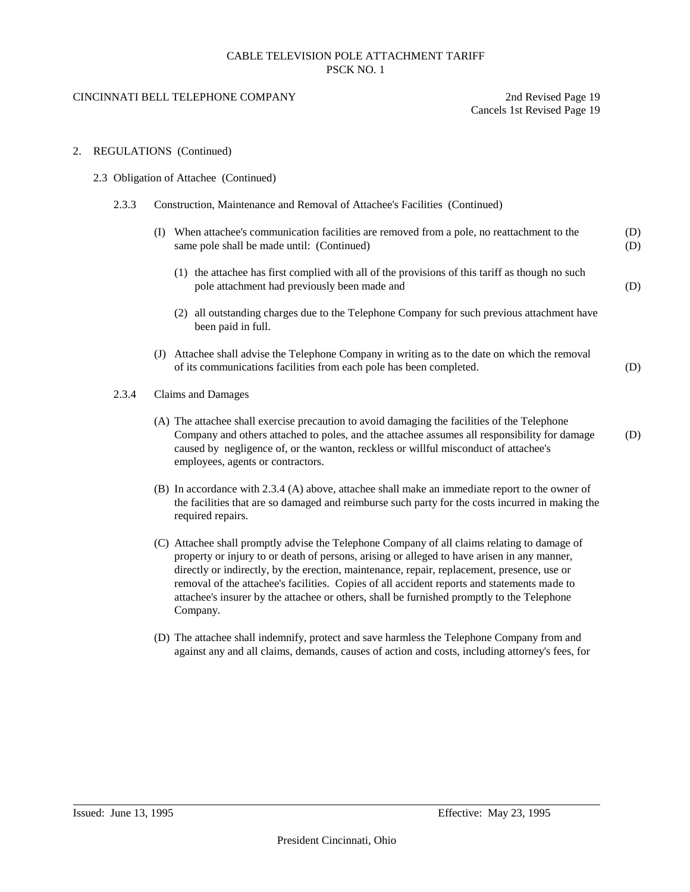#### CINCINNATI BELL TELEPHONE COMPANY 2nd Revised Page 19

Cancels 1st Revised Page 19

#### 2. REGULATIONS (Continued)

#### 2.3 Obligation of Attachee (Continued)

- 2.3.3 Construction, Maintenance and Removal of Attachee's Facilities (Continued)
	- (I) When attachee's communication facilities are removed from a pole, no reattachment to the (D) same pole shall be made until: (Continued) (D)
		- (1) the attachee has first complied with all of the provisions of this tariff as though no such pole attachment had previously been made and (D)
		- (2) all outstanding charges due to the Telephone Company for such previous attachment have been paid in full.
	- (J) Attachee shall advise the Telephone Company in writing as to the date on which the removal of its communications facilities from each pole has been completed. (D)

#### 2.3.4 Claims and Damages

- (A) The attachee shall exercise precaution to avoid damaging the facilities of the Telephone Company and others attached to poles, and the attachee assumes all responsibility for damage (D) caused by negligence of, or the wanton, reckless or willful misconduct of attachee's employees, agents or contractors.
- (B) In accordance with 2.3.4 (A) above, attachee shall make an immediate report to the owner of the facilities that are so damaged and reimburse such party for the costs incurred in making the required repairs.
- (C) Attachee shall promptly advise the Telephone Company of all claims relating to damage of property or injury to or death of persons, arising or alleged to have arisen in any manner, directly or indirectly, by the erection, maintenance, repair, replacement, presence, use or removal of the attachee's facilities. Copies of all accident reports and statements made to attachee's insurer by the attachee or others, shall be furnished promptly to the Telephone Company.
- (D) The attachee shall indemnify, protect and save harmless the Telephone Company from and against any and all claims, demands, causes of action and costs, including attorney's fees, for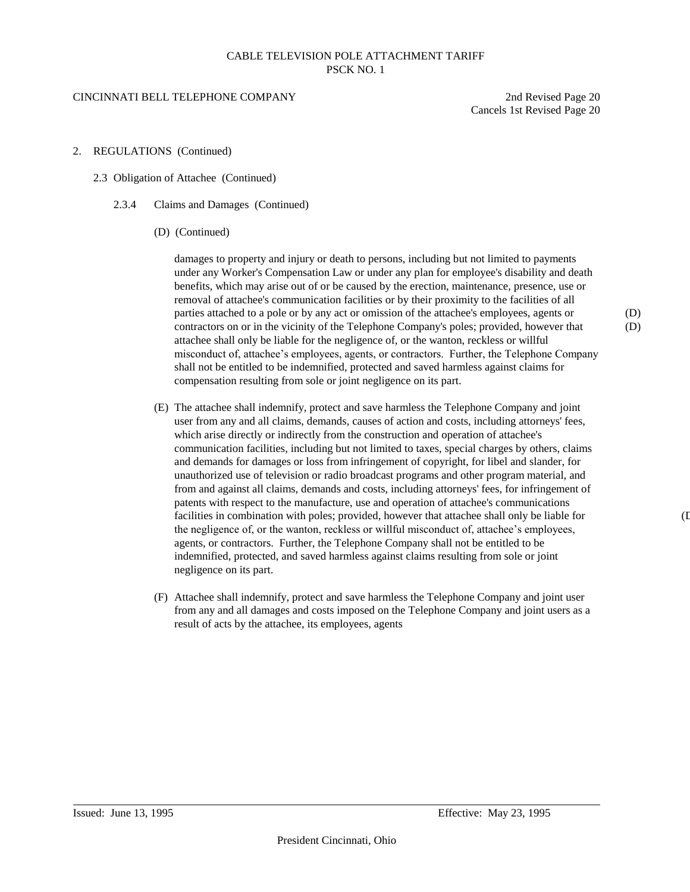#### CINCINNATI BELL TELEPHONE COMPANY 2nd Revised Page 20

Cancels 1st Revised Page 20

- 2. REGULATIONS (Continued)
	- 2.3 Obligation of Attachee (Continued)
		- 2.3.4 Claims and Damages (Continued)
			- (D) (Continued)

damages to property and injury or death to persons, including but not limited to payments under any Worker's Compensation Law or under any plan for employee's disability and death benefits, which may arise out of or be caused by the erection, maintenance, presence, use or removal of attachee's communication facilities or by their proximity to the facilities of all parties attached to a pole or by any act or omission of the attachee's employees, agents or (D) contractors on or in the vicinity of the Telephone Company's poles; provided, however that (D) attachee shall only be liable for the negligence of, or the wanton, reckless or willful misconduct of, attachee's employees, agents, or contractors. Further, the Telephone Company shall not be entitled to be indemnified, protected and saved harmless against claims for compensation resulting from sole or joint negligence on its part.

- (E) The attachee shall indemnify, protect and save harmless the Telephone Company and joint user from any and all claims, demands, causes of action and costs, including attorneys' fees, which arise directly or indirectly from the construction and operation of attachee's communication facilities, including but not limited to taxes, special charges by others, claims and demands for damages or loss from infringement of copyright, for libel and slander, for unauthorized use of television or radio broadcast programs and other program material, and from and against all claims, demands and costs, including attorneys' fees, for infringement of patents with respect to the manufacture, use and operation of attachee's communications facilities in combination with poles; provided, however that attachee shall only be liable for (D) the negligence of, or the wanton, reckless or willful misconduct of, attachee's employees, agents, or contractors. Further, the Telephone Company shall not be entitled to be indemnified, protected, and saved harmless against claims resulting from sole or joint negligence on its part.
- (F) Attachee shall indemnify, protect and save harmless the Telephone Company and joint user from any and all damages and costs imposed on the Telephone Company and joint users as a result of acts by the attachee, its employees, agents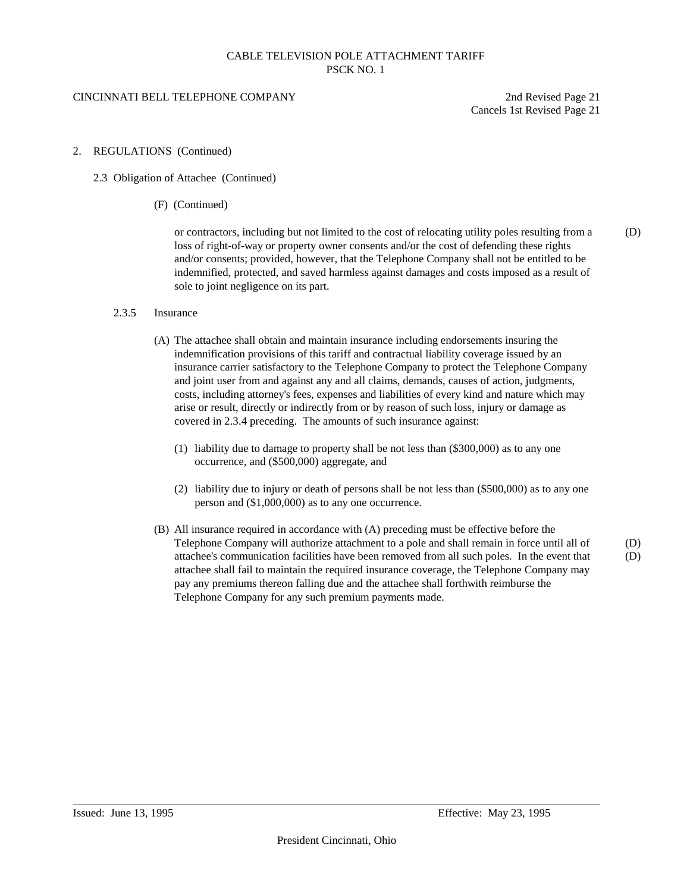### CINCINNATI BELL TELEPHONE COMPANY 2nd Revised Page 21

Cancels 1st Revised Page 21

#### 2. REGULATIONS (Continued)

- 2.3 Obligation of Attachee (Continued)
	- (F) (Continued)

or contractors, including but not limited to the cost of relocating utility poles resulting from a (D) loss of right-of-way or property owner consents and/or the cost of defending these rights and/or consents; provided, however, that the Telephone Company shall not be entitled to be indemnified, protected, and saved harmless against damages and costs imposed as a result of sole to joint negligence on its part.

#### 2.3.5 Insurance

- (A) The attachee shall obtain and maintain insurance including endorsements insuring the indemnification provisions of this tariff and contractual liability coverage issued by an insurance carrier satisfactory to the Telephone Company to protect the Telephone Company and joint user from and against any and all claims, demands, causes of action, judgments, costs, including attorney's fees, expenses and liabilities of every kind and nature which may arise or result, directly or indirectly from or by reason of such loss, injury or damage as covered in 2.3.4 preceding. The amounts of such insurance against:
	- (1) liability due to damage to property shall be not less than (\$300,000) as to any one occurrence, and (\$500,000) aggregate, and
	- (2) liability due to injury or death of persons shall be not less than (\$500,000) as to any one person and (\$1,000,000) as to any one occurrence.
- (B) All insurance required in accordance with (A) preceding must be effective before the Telephone Company will authorize attachment to a pole and shall remain in force until all of (D) attachee's communication facilities have been removed from all such poles. In the event that (D) attachee shall fail to maintain the required insurance coverage, the Telephone Company may pay any premiums thereon falling due and the attachee shall forthwith reimburse the Telephone Company for any such premium payments made.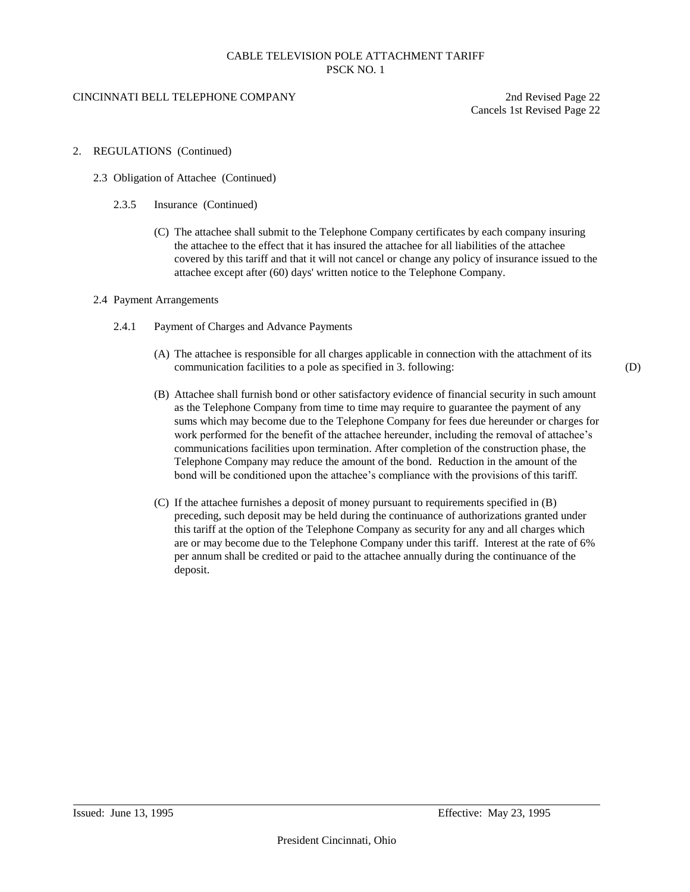### CINCINNATI BELL TELEPHONE COMPANY 2nd Revised Page 22

Cancels 1st Revised Page 22

- 2. REGULATIONS (Continued)
	- 2.3 Obligation of Attachee (Continued)
		- 2.3.5 Insurance (Continued)
			- (C) The attachee shall submit to the Telephone Company certificates by each company insuring the attachee to the effect that it has insured the attachee for all liabilities of the attachee covered by this tariff and that it will not cancel or change any policy of insurance issued to the attachee except after (60) days' written notice to the Telephone Company.
	- 2.4 Payment Arrangements
		- 2.4.1 Payment of Charges and Advance Payments
			- (A) The attachee is responsible for all charges applicable in connection with the attachment of its communication facilities to a pole as specified in 3. following: (D)
			- (B) Attachee shall furnish bond or other satisfactory evidence of financial security in such amount as the Telephone Company from time to time may require to guarantee the payment of any sums which may become due to the Telephone Company for fees due hereunder or charges for work performed for the benefit of the attachee hereunder, including the removal of attachee's communications facilities upon termination. After completion of the construction phase, the Telephone Company may reduce the amount of the bond. Reduction in the amount of the bond will be conditioned upon the attachee's compliance with the provisions of this tariff.
			- (C) If the attachee furnishes a deposit of money pursuant to requirements specified in (B) preceding, such deposit may be held during the continuance of authorizations granted under this tariff at the option of the Telephone Company as security for any and all charges which are or may become due to the Telephone Company under this tariff. Interest at the rate of 6% per annum shall be credited or paid to the attachee annually during the continuance of the deposit.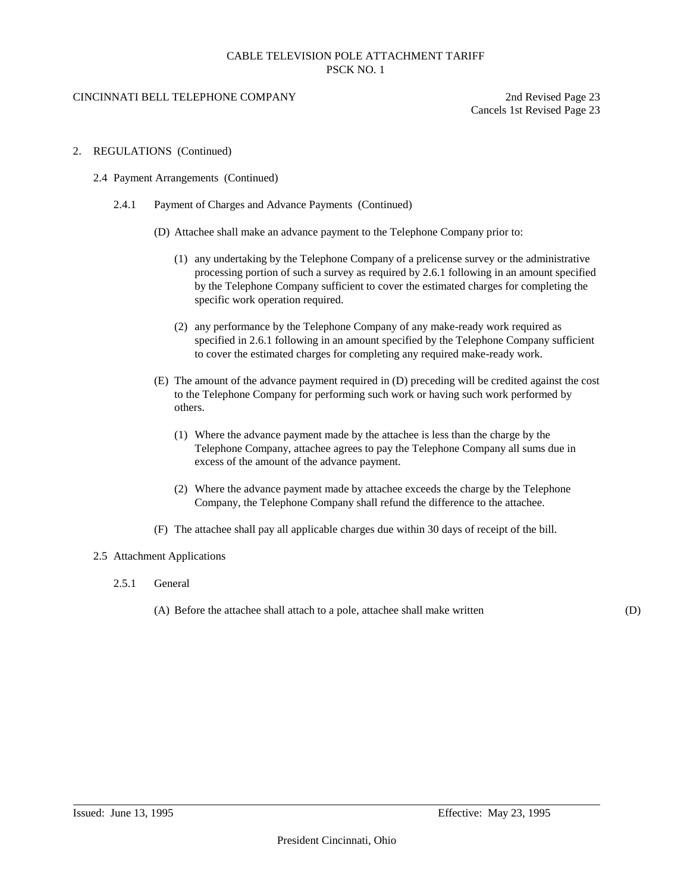### CINCINNATI BELL TELEPHONE COMPANY 2nd Revised Page 23

Cancels 1st Revised Page 23

- 2. REGULATIONS (Continued)
	- 2.4 Payment Arrangements (Continued)
		- 2.4.1 Payment of Charges and Advance Payments (Continued)
			- (D) Attachee shall make an advance payment to the Telephone Company prior to:
				- (1) any undertaking by the Telephone Company of a prelicense survey or the administrative processing portion of such a survey as required by 2.6.1 following in an amount specified by the Telephone Company sufficient to cover the estimated charges for completing the specific work operation required.
				- (2) any performance by the Telephone Company of any make-ready work required as specified in 2.6.1 following in an amount specified by the Telephone Company sufficient to cover the estimated charges for completing any required make-ready work.
			- (E) The amount of the advance payment required in (D) preceding will be credited against the cost to the Telephone Company for performing such work or having such work performed by others.
				- (1) Where the advance payment made by the attachee is less than the charge by the Telephone Company, attachee agrees to pay the Telephone Company all sums due in excess of the amount of the advance payment.
				- (2) Where the advance payment made by attachee exceeds the charge by the Telephone Company, the Telephone Company shall refund the difference to the attachee.
			- (F) The attachee shall pay all applicable charges due within 30 days of receipt of the bill.

#### 2.5 Attachment Applications

- 2.5.1 General
	- (A) Before the attachee shall attach to a pole, attachee shall make written (D)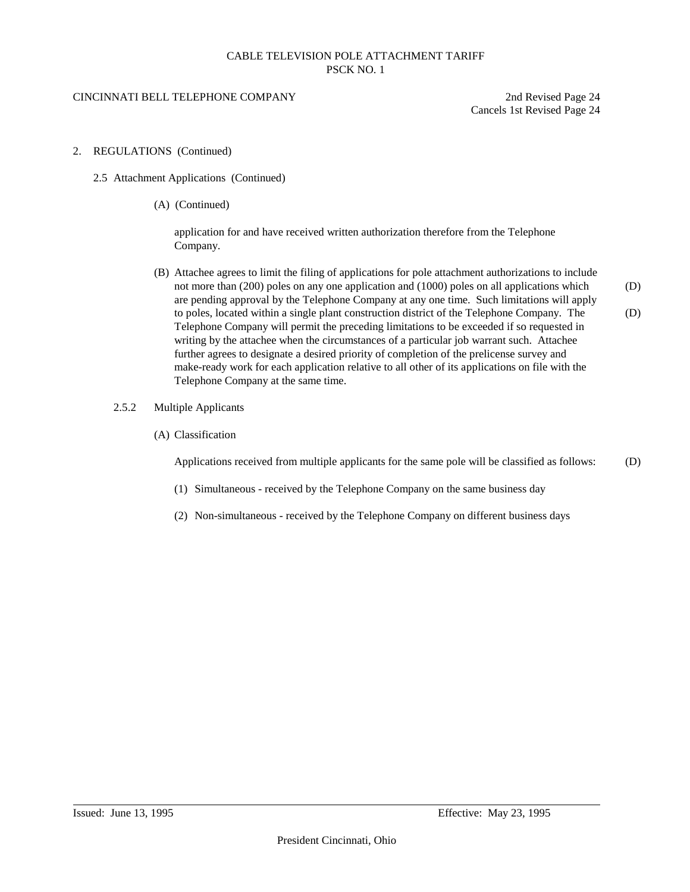### CINCINNATI BELL TELEPHONE COMPANY 2nd Revised Page 24

Cancels 1st Revised Page 24

- 2. REGULATIONS (Continued)
	- 2.5 Attachment Applications (Continued)
		- (A) (Continued)

application for and have received written authorization therefore from the Telephone Company.

- (B) Attachee agrees to limit the filing of applications for pole attachment authorizations to include not more than (200) poles on any one application and (1000) poles on all applications which (D) are pending approval by the Telephone Company at any one time. Such limitations will apply to poles, located within a single plant construction district of the Telephone Company. The (D) Telephone Company will permit the preceding limitations to be exceeded if so requested in writing by the attachee when the circumstances of a particular job warrant such. Attachee further agrees to designate a desired priority of completion of the prelicense survey and make-ready work for each application relative to all other of its applications on file with the Telephone Company at the same time.
- 2.5.2 Multiple Applicants
	- (A) Classification

Applications received from multiple applicants for the same pole will be classified as follows: (D)

- (1) Simultaneous received by the Telephone Company on the same business day
- (2) Non-simultaneous received by the Telephone Company on different business days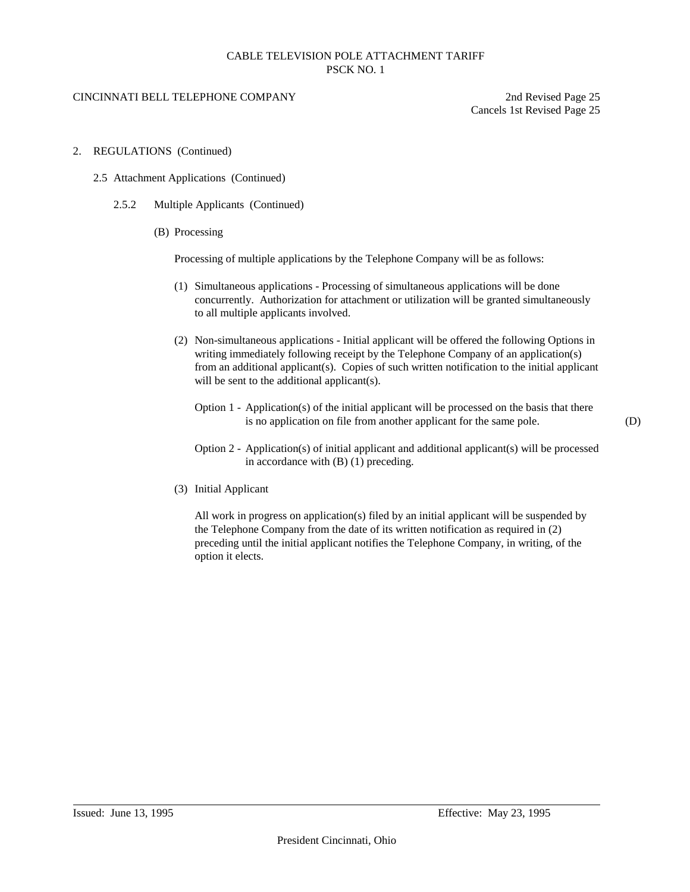#### CINCINNATI BELL TELEPHONE COMPANY 2nd Revised Page 25

Cancels 1st Revised Page 25

- 2. REGULATIONS (Continued)
	- 2.5 Attachment Applications (Continued)
		- 2.5.2 Multiple Applicants (Continued)
			- (B) Processing

Processing of multiple applications by the Telephone Company will be as follows:

- (1) Simultaneous applications Processing of simultaneous applications will be done concurrently. Authorization for attachment or utilization will be granted simultaneously to all multiple applicants involved.
- (2) Non-simultaneous applications Initial applicant will be offered the following Options in writing immediately following receipt by the Telephone Company of an application(s) from an additional applicant(s). Copies of such written notification to the initial applicant will be sent to the additional applicant(s).
	- Option 1 Application(s) of the initial applicant will be processed on the basis that there is no application on file from another applicant for the same pole. (D)

- Option 2 Application(s) of initial applicant and additional applicant(s) will be processed in accordance with (B) (1) preceding.
- (3) Initial Applicant

All work in progress on application(s) filed by an initial applicant will be suspended by the Telephone Company from the date of its written notification as required in (2) preceding until the initial applicant notifies the Telephone Company, in writing, of the option it elects.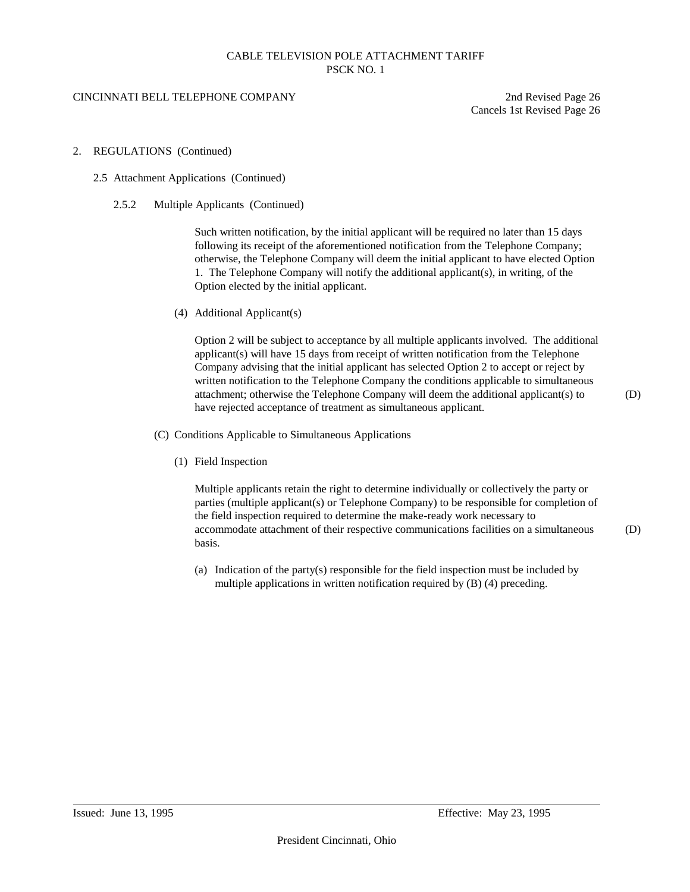#### CINCINNATI BELL TELEPHONE COMPANY 2nd Revised Page 26

Cancels 1st Revised Page 26

#### 2. REGULATIONS (Continued)

#### 2.5 Attachment Applications (Continued)

2.5.2 Multiple Applicants (Continued)

Such written notification, by the initial applicant will be required no later than 15 days following its receipt of the aforementioned notification from the Telephone Company; otherwise, the Telephone Company will deem the initial applicant to have elected Option 1. The Telephone Company will notify the additional applicant(s), in writing, of the Option elected by the initial applicant.

(4) Additional Applicant(s)

Option 2 will be subject to acceptance by all multiple applicants involved. The additional applicant(s) will have 15 days from receipt of written notification from the Telephone Company advising that the initial applicant has selected Option 2 to accept or reject by written notification to the Telephone Company the conditions applicable to simultaneous attachment; otherwise the Telephone Company will deem the additional applicant(s) to (D) have rejected acceptance of treatment as simultaneous applicant.

(C) Conditions Applicable to Simultaneous Applications

(1) Field Inspection

Multiple applicants retain the right to determine individually or collectively the party or parties (multiple applicant(s) or Telephone Company) to be responsible for completion of the field inspection required to determine the make-ready work necessary to accommodate attachment of their respective communications facilities on a simultaneous (D) basis.

(a) Indication of the party(s) responsible for the field inspection must be included by multiple applications in written notification required by (B) (4) preceding.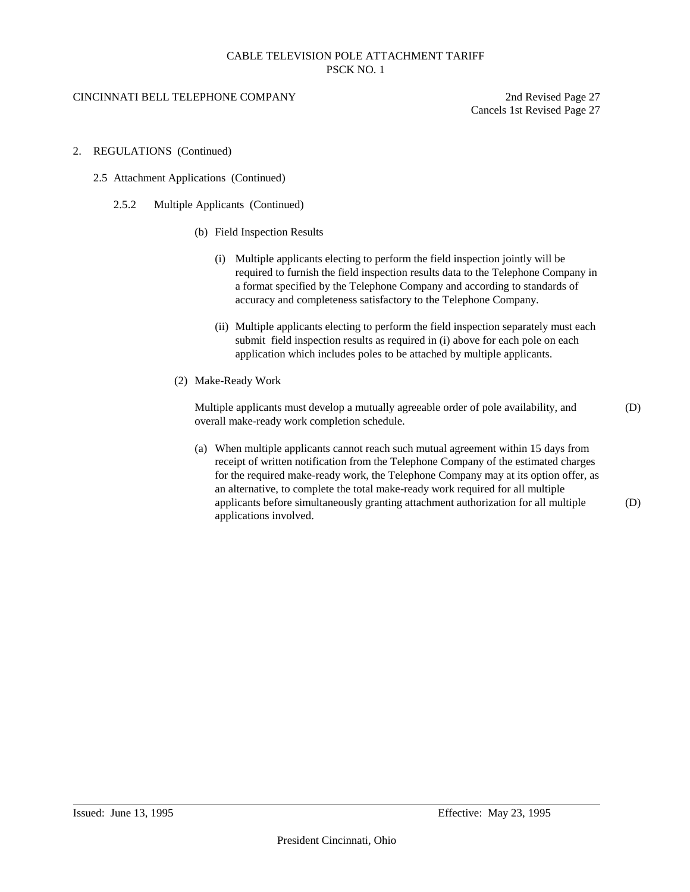### CINCINNATI BELL TELEPHONE COMPANY 2nd Revised Page 27

Cancels 1st Revised Page 27

- 2. REGULATIONS (Continued)
	- 2.5 Attachment Applications (Continued)
		- 2.5.2 Multiple Applicants (Continued)
			- (b) Field Inspection Results
				- (i) Multiple applicants electing to perform the field inspection jointly will be required to furnish the field inspection results data to the Telephone Company in a format specified by the Telephone Company and according to standards of accuracy and completeness satisfactory to the Telephone Company.
				- (ii) Multiple applicants electing to perform the field inspection separately must each submit field inspection results as required in (i) above for each pole on each application which includes poles to be attached by multiple applicants.
			- (2) Make-Ready Work

Multiple applicants must develop a mutually agreeable order of pole availability, and (D) overall make-ready work completion schedule.

(a) When multiple applicants cannot reach such mutual agreement within 15 days from receipt of written notification from the Telephone Company of the estimated charges for the required make-ready work, the Telephone Company may at its option offer, as an alternative, to complete the total make-ready work required for all multiple applicants before simultaneously granting attachment authorization for all multiple (D) applications involved.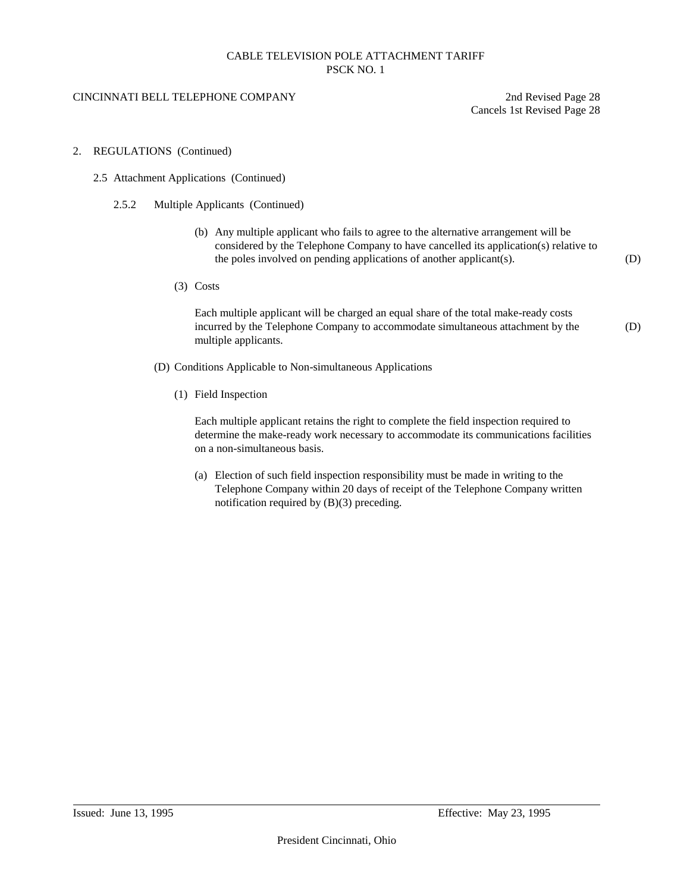#### CINCINNATI BELL TELEPHONE COMPANY 2nd Revised Page 28

Cancels 1st Revised Page 28

#### 2. REGULATIONS (Continued)

- 2.5 Attachment Applications (Continued)
	- 2.5.2 Multiple Applicants (Continued)
		- (b) Any multiple applicant who fails to agree to the alternative arrangement will be considered by the Telephone Company to have cancelled its application(s) relative to the poles involved on pending applications of another applicant(s). (D)
		- (3) Costs

Each multiple applicant will be charged an equal share of the total make-ready costs incurred by the Telephone Company to accommodate simultaneous attachment by the (D) multiple applicants.

- (D) Conditions Applicable to Non-simultaneous Applications
	- (1) Field Inspection

Each multiple applicant retains the right to complete the field inspection required to determine the make-ready work necessary to accommodate its communications facilities on a non-simultaneous basis.

(a) Election of such field inspection responsibility must be made in writing to the Telephone Company within 20 days of receipt of the Telephone Company written notification required by (B)(3) preceding.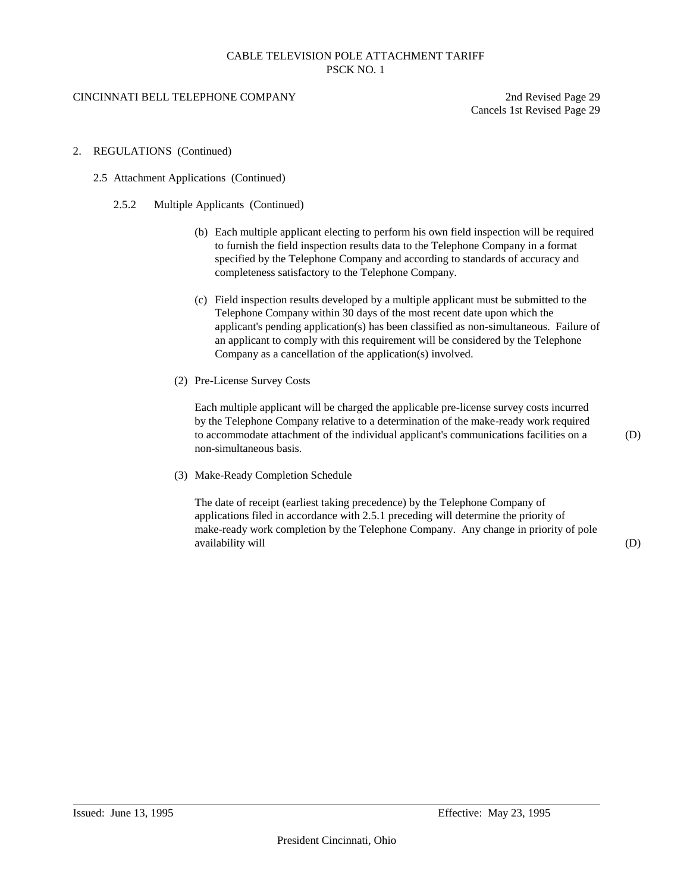#### CINCINNATI BELL TELEPHONE COMPANY 2nd Revised Page 29

Cancels 1st Revised Page 29

- 2. REGULATIONS (Continued)
	- 2.5 Attachment Applications (Continued)
		- 2.5.2 Multiple Applicants (Continued)
			- (b) Each multiple applicant electing to perform his own field inspection will be required to furnish the field inspection results data to the Telephone Company in a format specified by the Telephone Company and according to standards of accuracy and completeness satisfactory to the Telephone Company.
			- (c) Field inspection results developed by a multiple applicant must be submitted to the Telephone Company within 30 days of the most recent date upon which the applicant's pending application(s) has been classified as non-simultaneous. Failure of an applicant to comply with this requirement will be considered by the Telephone Company as a cancellation of the application(s) involved.
			- (2) Pre-License Survey Costs

Each multiple applicant will be charged the applicable pre-license survey costs incurred by the Telephone Company relative to a determination of the make-ready work required to accommodate attachment of the individual applicant's communications facilities on a (D) non-simultaneous basis.

(3) Make-Ready Completion Schedule

The date of receipt (earliest taking precedence) by the Telephone Company of applications filed in accordance with 2.5.1 preceding will determine the priority of make-ready work completion by the Telephone Company. Any change in priority of pole availability will  $(D)$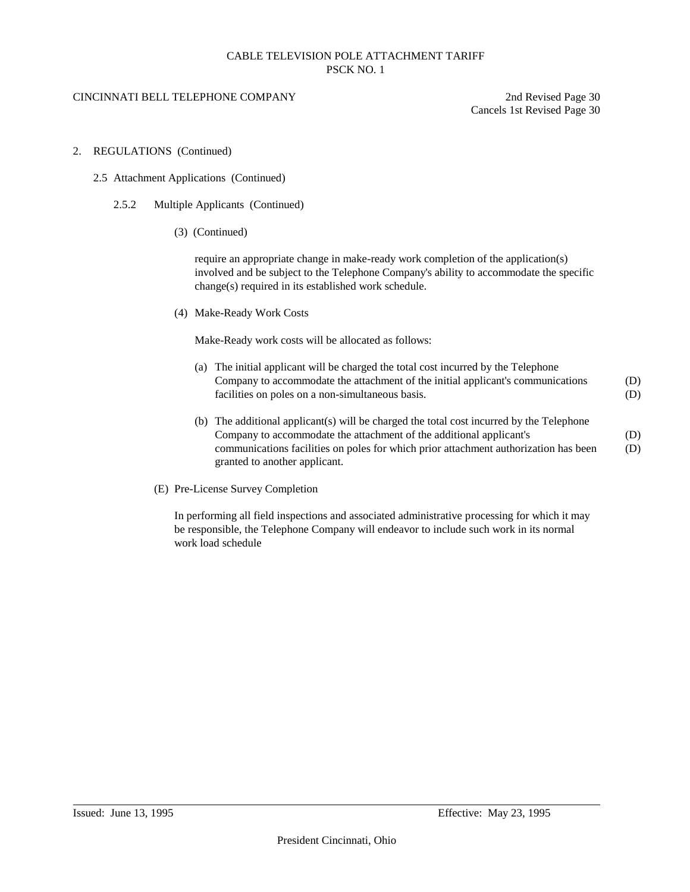### CINCINNATI BELL TELEPHONE COMPANY 2nd Revised Page 30

Cancels 1st Revised Page 30

- 2. REGULATIONS (Continued)
	- 2.5 Attachment Applications (Continued)
		- 2.5.2 Multiple Applicants (Continued)
			- (3) (Continued)

require an appropriate change in make-ready work completion of the application(s) involved and be subject to the Telephone Company's ability to accommodate the specific change(s) required in its established work schedule.

(4) Make-Ready Work Costs

Make-Ready work costs will be allocated as follows:

- (a) The initial applicant will be charged the total cost incurred by the Telephone Company to accommodate the attachment of the initial applicant's communications (D) facilities on poles on a non-simultaneous basis. (D)
- (b) The additional applicant(s) will be charged the total cost incurred by the Telephone Company to accommodate the attachment of the additional applicant's (D) communications facilities on poles for which prior attachment authorization has been (D) granted to another applicant.
- (E) Pre-License Survey Completion

In performing all field inspections and associated administrative processing for which it may be responsible, the Telephone Company will endeavor to include such work in its normal work load schedule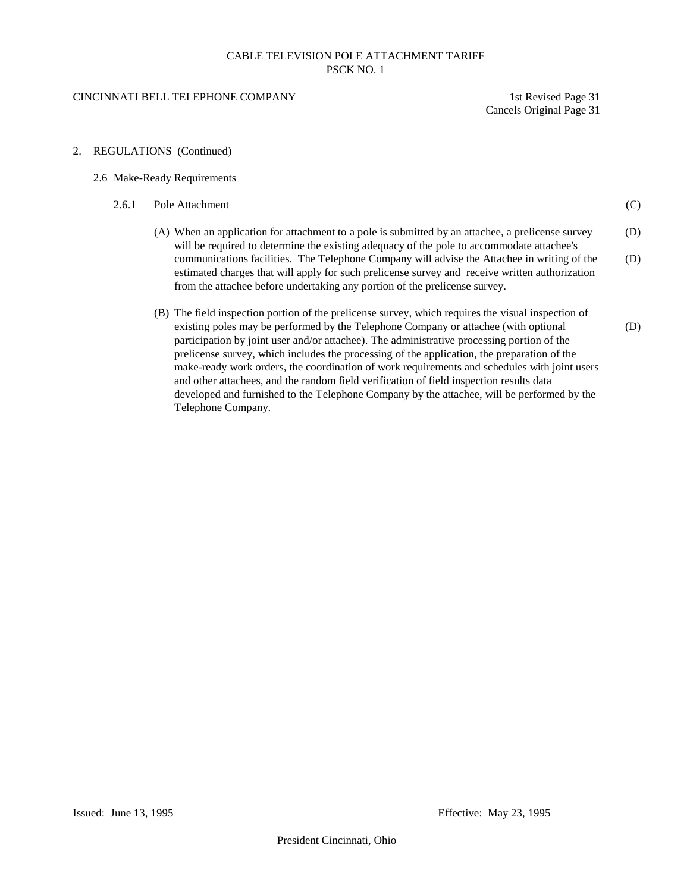#### CINCINNATI BELL TELEPHONE COMPANY 1st Revised Page 31

Cancels Original Page 31

2. REGULATIONS (Continued)

#### 2.6 Make-Ready Requirements

- 2.6.1 Pole Attachment (C) (A) When an application for attachment to a pole is submitted by an attachee, a prelicense survey (D) will be required to determine the existing adequacy of the pole to accommodate attachee's communications facilities. The Telephone Company will advise the Attachee in writing of the (D) estimated charges that will apply for such prelicense survey and receive written authorization from the attachee before undertaking any portion of the prelicense survey. (B) The field inspection portion of the prelicense survey, which requires the visual inspection of existing poles may be performed by the Telephone Company or attachee (with optional (D) participation by joint user and/or attachee). The administrative processing portion of the prelicense survey, which includes the processing of the application, the preparation of the
	- make-ready work orders, the coordination of work requirements and schedules with joint users and other attachees, and the random field verification of field inspection results data developed and furnished to the Telephone Company by the attachee, will be performed by the Telephone Company.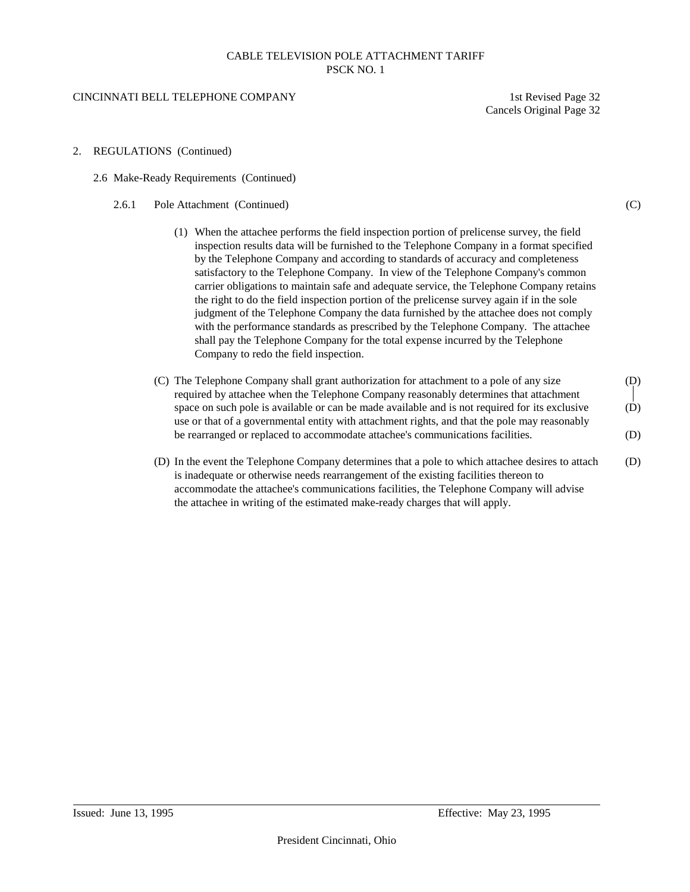#### CINCINNATI BELL TELEPHONE COMPANY 1st Revised Page 32

Cancels Original Page 32

- 2. REGULATIONS (Continued)
	- 2.6 Make-Ready Requirements (Continued)
		- 2.6.1 Pole Attachment (Continued) (C)
			- (1) When the attachee performs the field inspection portion of prelicense survey, the field inspection results data will be furnished to the Telephone Company in a format specified by the Telephone Company and according to standards of accuracy and completeness satisfactory to the Telephone Company. In view of the Telephone Company's common carrier obligations to maintain safe and adequate service, the Telephone Company retains the right to do the field inspection portion of the prelicense survey again if in the sole judgment of the Telephone Company the data furnished by the attachee does not comply with the performance standards as prescribed by the Telephone Company. The attachee shall pay the Telephone Company for the total expense incurred by the Telephone Company to redo the field inspection.
			- (C) The Telephone Company shall grant authorization for attachment to a pole of any size (D) required by attachee when the Telephone Company reasonably determines that attachment space on such pole is available or can be made available and is not required for its exclusive (D) use or that of a governmental entity with attachment rights, and that the pole may reasonably be rearranged or replaced to accommodate attachee's communications facilities. (D)
			- (D) In the event the Telephone Company determines that a pole to which attachee desires to attach (D) is inadequate or otherwise needs rearrangement of the existing facilities thereon to accommodate the attachee's communications facilities, the Telephone Company will advise the attachee in writing of the estimated make-ready charges that will apply.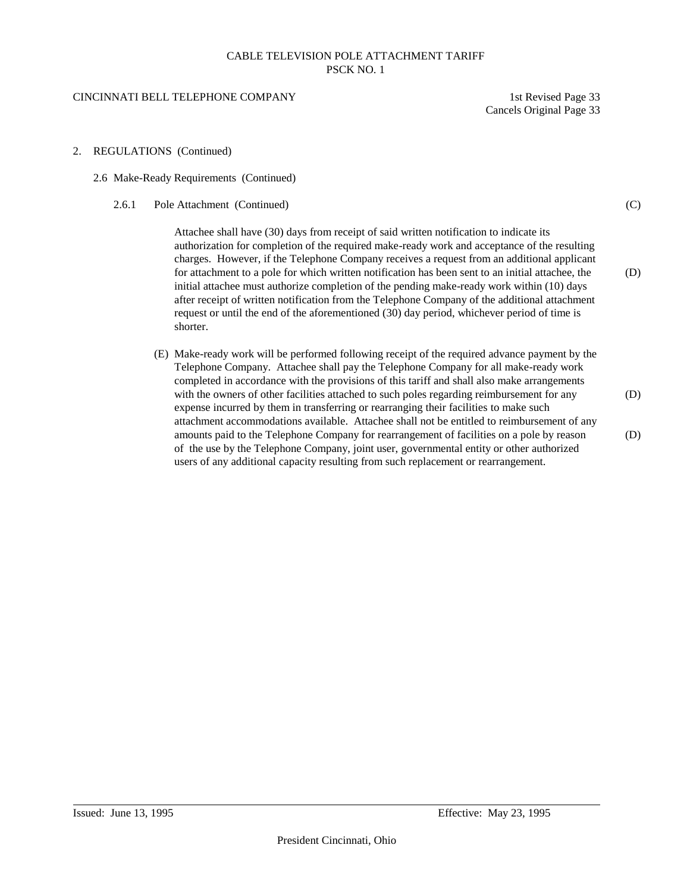#### CINCINNATI BELL TELEPHONE COMPANY 1st Revised Page 33

2. REGULATIONS (Continued)

Cancels Original Page 33

| 2.6 Make-Ready Requirements (Continued) |                                                                                                                                                                                                                                                                                                                                                                                                                                                                                                                                                                                                                                                                                                      |     |  |  |
|-----------------------------------------|------------------------------------------------------------------------------------------------------------------------------------------------------------------------------------------------------------------------------------------------------------------------------------------------------------------------------------------------------------------------------------------------------------------------------------------------------------------------------------------------------------------------------------------------------------------------------------------------------------------------------------------------------------------------------------------------------|-----|--|--|
| 2.6.1                                   | Pole Attachment (Continued)                                                                                                                                                                                                                                                                                                                                                                                                                                                                                                                                                                                                                                                                          | (C) |  |  |
|                                         | Attachee shall have (30) days from receipt of said written notification to indicate its<br>authorization for completion of the required make-ready work and acceptance of the resulting<br>charges. However, if the Telephone Company receives a request from an additional applicant<br>for attachment to a pole for which written notification has been sent to an initial attachee, the<br>initial attachee must authorize completion of the pending make-ready work within (10) days<br>after receipt of written notification from the Telephone Company of the additional attachment<br>request or until the end of the aforementioned (30) day period, whichever period of time is<br>shorter. | (D) |  |  |
|                                         | (E) Make-ready work will be performed following receipt of the required advance payment by the                                                                                                                                                                                                                                                                                                                                                                                                                                                                                                                                                                                                       |     |  |  |

Telephone Company. Attachee shall pay the Telephone Company for all make-ready work completed in accordance with the provisions of this tariff and shall also make arrangements with the owners of other facilities attached to such poles regarding reimbursement for any (D) expense incurred by them in transferring or rearranging their facilities to make such attachment accommodations available. Attachee shall not be entitled to reimbursement of any amounts paid to the Telephone Company for rearrangement of facilities on a pole by reason (D) of the use by the Telephone Company, joint user, governmental entity or other authorized users of any additional capacity resulting from such replacement or rearrangement.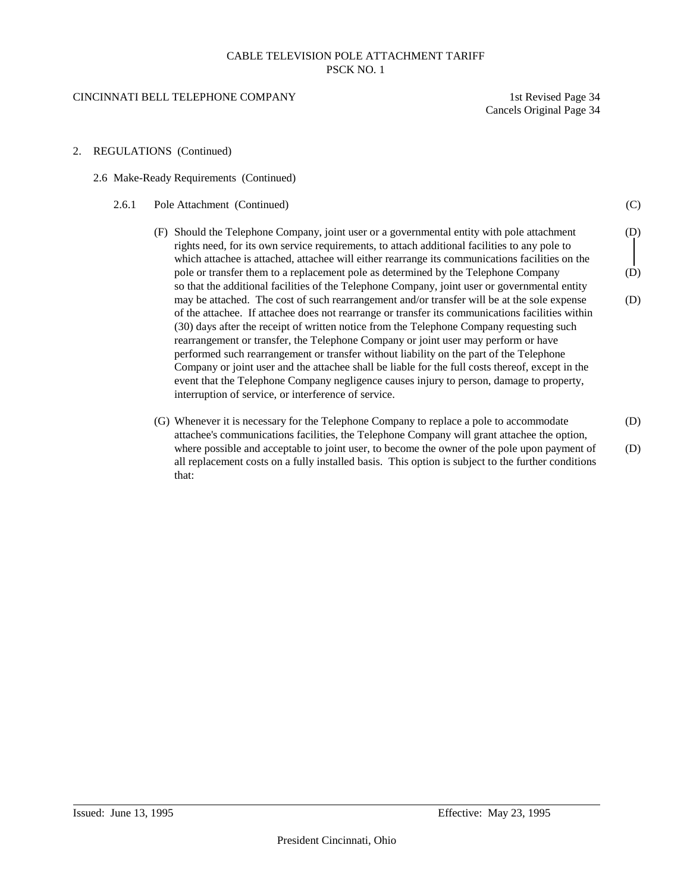#### CINCINNATI BELL TELEPHONE COMPANY 1st Revised Page 34

Cancels Original Page 34

- 2. REGULATIONS (Continued)
	- 2.6 Make-Ready Requirements (Continued)
		- 2.6.1 Pole Attachment (Continued) (C)
			- (F) Should the Telephone Company, joint user or a governmental entity with pole attachment (D) rights need, for its own service requirements, to attach additional facilities to any pole to which attachee is attached, attachee will either rearrange its communications facilities on the pole or transfer them to a replacement pole as determined by the Telephone Company (D) so that the additional facilities of the Telephone Company, joint user or governmental entity may be attached. The cost of such rearrangement and/or transfer will be at the sole expense (D) of the attachee. If attachee does not rearrange or transfer its communications facilities within (30) days after the receipt of written notice from the Telephone Company requesting such rearrangement or transfer, the Telephone Company or joint user may perform or have performed such rearrangement or transfer without liability on the part of the Telephone Company or joint user and the attachee shall be liable for the full costs thereof, except in the event that the Telephone Company negligence causes injury to person, damage to property, interruption of service, or interference of service.
			- (G) Whenever it is necessary for the Telephone Company to replace a pole to accommodate (D) attachee's communications facilities, the Telephone Company will grant attachee the option, where possible and acceptable to joint user, to become the owner of the pole upon payment of (D) all replacement costs on a fully installed basis. This option is subject to the further conditions that: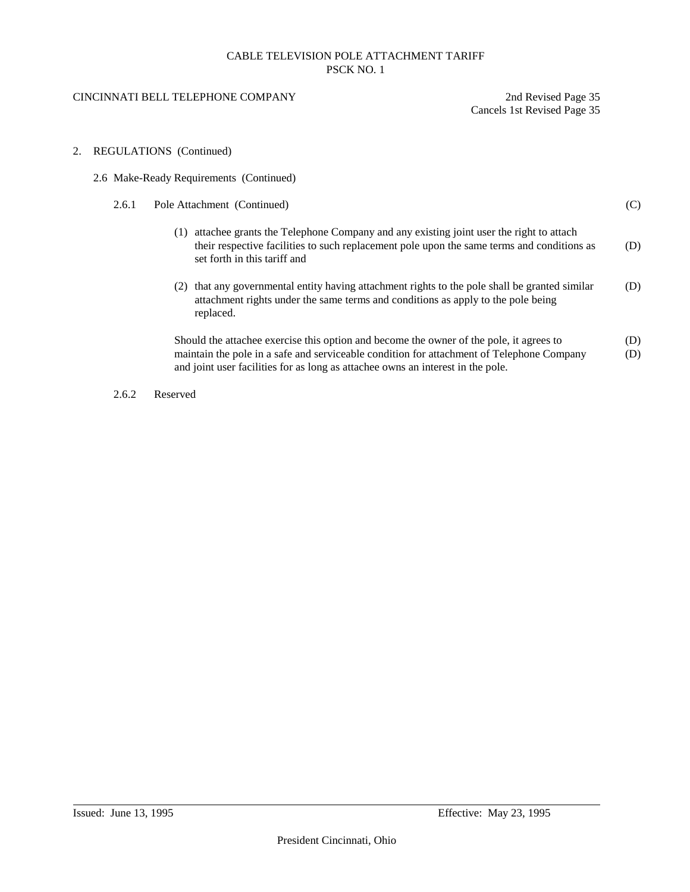## CINCINNATI BELL TELEPHONE COMPANY 2nd Revised Page 35

Cancels 1st Revised Page 35

## 2. REGULATIONS (Continued)

|                                     | 2.6 Make-Ready Requirements (Continued) |                                                                                                                                                                                                                                                                         |            |
|-------------------------------------|-----------------------------------------|-------------------------------------------------------------------------------------------------------------------------------------------------------------------------------------------------------------------------------------------------------------------------|------------|
|                                     | 2.6.1                                   | Pole Attachment (Continued)                                                                                                                                                                                                                                             | (C)        |
| (1)<br>set forth in this tariff and |                                         | attachee grants the Telephone Company and any existing joint user the right to attach<br>their respective facilities to such replacement pole upon the same terms and conditions as                                                                                     | (D)        |
|                                     |                                         | that any governmental entity having attachment rights to the pole shall be granted similar<br>(2)<br>attachment rights under the same terms and conditions as apply to the pole being<br>replaced.                                                                      | (D)        |
|                                     |                                         | Should the attachee exercise this option and become the owner of the pole, it agrees to<br>maintain the pole in a safe and serviceable condition for attachment of Telephone Company<br>and joint user facilities for as long as attachee owns an interest in the pole. | (D)<br>(D) |

2.6.2 Reserved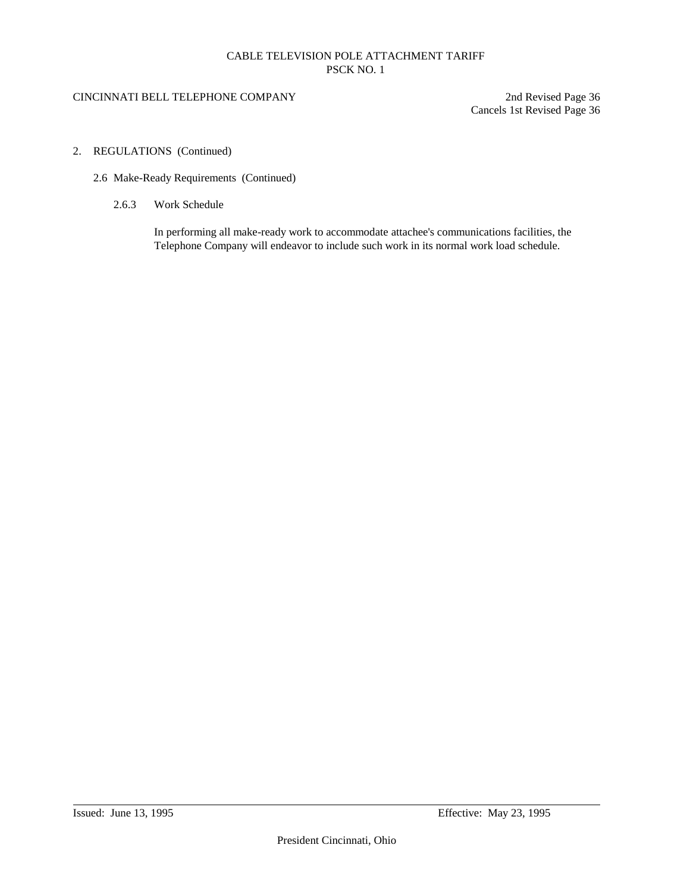## CINCINNATI BELL TELEPHONE COMPANY 2nd Revised Page 36

Cancels 1st Revised Page 36

- 2. REGULATIONS (Continued)
	- 2.6 Make-Ready Requirements (Continued)
		- 2.6.3 Work Schedule

In performing all make-ready work to accommodate attachee's communications facilities, the Telephone Company will endeavor to include such work in its normal work load schedule.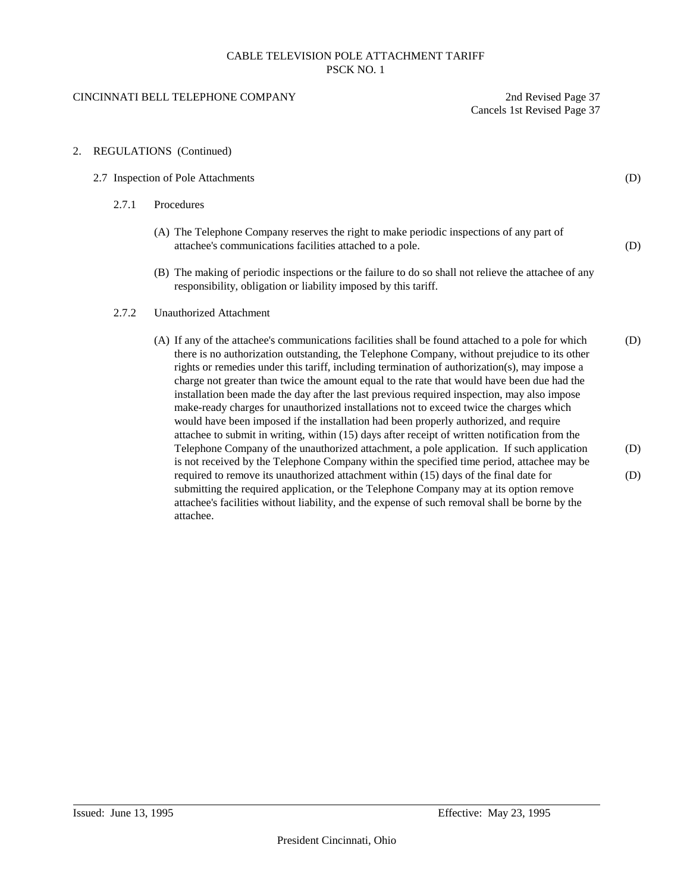## CINCINNATI BELL TELEPHONE COMPANY 2nd Revised Page 37

attachee.

Cancels 1st Revised Page 37

2. REGULATIONS (Continued)

| 2.7 Inspection of Pole Attachments |                                                                                                                                                                                                                                                                                                                                                                                                                                                                                                                                                                                                                                                                                                                                                                                         | (D) |
|------------------------------------|-----------------------------------------------------------------------------------------------------------------------------------------------------------------------------------------------------------------------------------------------------------------------------------------------------------------------------------------------------------------------------------------------------------------------------------------------------------------------------------------------------------------------------------------------------------------------------------------------------------------------------------------------------------------------------------------------------------------------------------------------------------------------------------------|-----|
| 2.7.1                              | Procedures                                                                                                                                                                                                                                                                                                                                                                                                                                                                                                                                                                                                                                                                                                                                                                              |     |
|                                    | (A) The Telephone Company reserves the right to make periodic inspections of any part of<br>attachee's communications facilities attached to a pole.                                                                                                                                                                                                                                                                                                                                                                                                                                                                                                                                                                                                                                    | (D) |
|                                    | (B) The making of periodic inspections or the failure to do so shall not relieve the attachee of any<br>responsibility, obligation or liability imposed by this tariff.                                                                                                                                                                                                                                                                                                                                                                                                                                                                                                                                                                                                                 |     |
| 2.7.2                              | <b>Unauthorized Attachment</b>                                                                                                                                                                                                                                                                                                                                                                                                                                                                                                                                                                                                                                                                                                                                                          |     |
|                                    | (A) If any of the attachee's communications facilities shall be found attached to a pole for which<br>there is no authorization outstanding, the Telephone Company, without prejudice to its other<br>rights or remedies under this tariff, including termination of authorization(s), may impose a<br>charge not greater than twice the amount equal to the rate that would have been due had the<br>installation been made the day after the last previous required inspection, may also impose<br>make-ready charges for unauthorized installations not to exceed twice the charges which<br>would have been imposed if the installation had been properly authorized, and require<br>attachee to submit in writing, within (15) days after receipt of written notification from the | (D) |
|                                    | Telephone Company of the unauthorized attachment, a pole application. If such application<br>is not received by the Telephone Company within the specified time period, attachee may be                                                                                                                                                                                                                                                                                                                                                                                                                                                                                                                                                                                                 | (D) |
|                                    | required to remove its unauthorized attachment within (15) days of the final date for<br>submitting the required application, or the Telephone Company may at its option remove<br>attachee's facilities without liability, and the expense of such removal shall be borne by the                                                                                                                                                                                                                                                                                                                                                                                                                                                                                                       | (D) |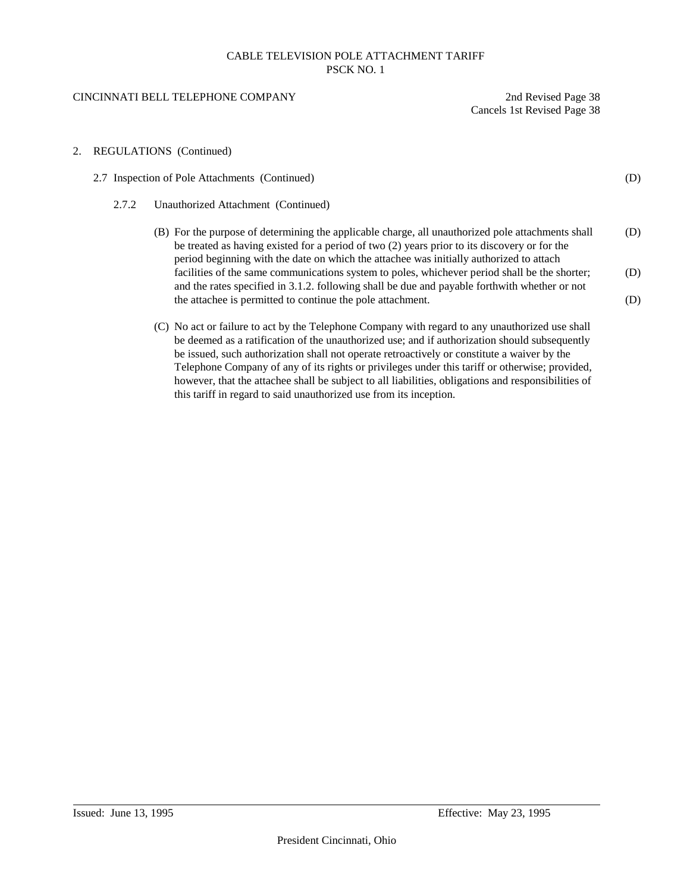## CINCINNATI BELL TELEPHONE COMPANY 2nd Revised Page 38

Cancels 1st Revised Page 38

## 2. REGULATIONS (Continued)

|                                                                                                                                                                                                                                                                                                                                                                                                   | 2.7 Inspection of Pole Attachments (Continued)                                                                                                                                                                                                                                               |     |  |
|---------------------------------------------------------------------------------------------------------------------------------------------------------------------------------------------------------------------------------------------------------------------------------------------------------------------------------------------------------------------------------------------------|----------------------------------------------------------------------------------------------------------------------------------------------------------------------------------------------------------------------------------------------------------------------------------------------|-----|--|
| 2.7.2                                                                                                                                                                                                                                                                                                                                                                                             | Unauthorized Attachment (Continued)                                                                                                                                                                                                                                                          |     |  |
|                                                                                                                                                                                                                                                                                                                                                                                                   | (B) For the purpose of determining the applicable charge, all unauthorized pole attachments shall<br>be treated as having existed for a period of two (2) years prior to its discovery or for the<br>period beginning with the date on which the attachee was initially authorized to attach | (D) |  |
|                                                                                                                                                                                                                                                                                                                                                                                                   | facilities of the same communications system to poles, whichever period shall be the shorter;<br>and the rates specified in 3.1.2. following shall be due and payable forthwith whether or not                                                                                               | (D) |  |
|                                                                                                                                                                                                                                                                                                                                                                                                   | the attachee is permitted to continue the pole attachment.                                                                                                                                                                                                                                   | (D) |  |
| (C) No act or failure to act by the Telephone Company with regard to any unauthorized use shall<br>be deemed as a ratification of the unauthorized use; and if authorization should subsequently<br>be issued, such authorization shall not operate retroactively or constitute a waiver by the<br>Telephone Company of any of its rights or privileges under this tariff or otherwise; provided, |                                                                                                                                                                                                                                                                                              |     |  |

however, that the attachee shall be subject to all liabilities, obligations and responsibilities of

this tariff in regard to said unauthorized use from its inception.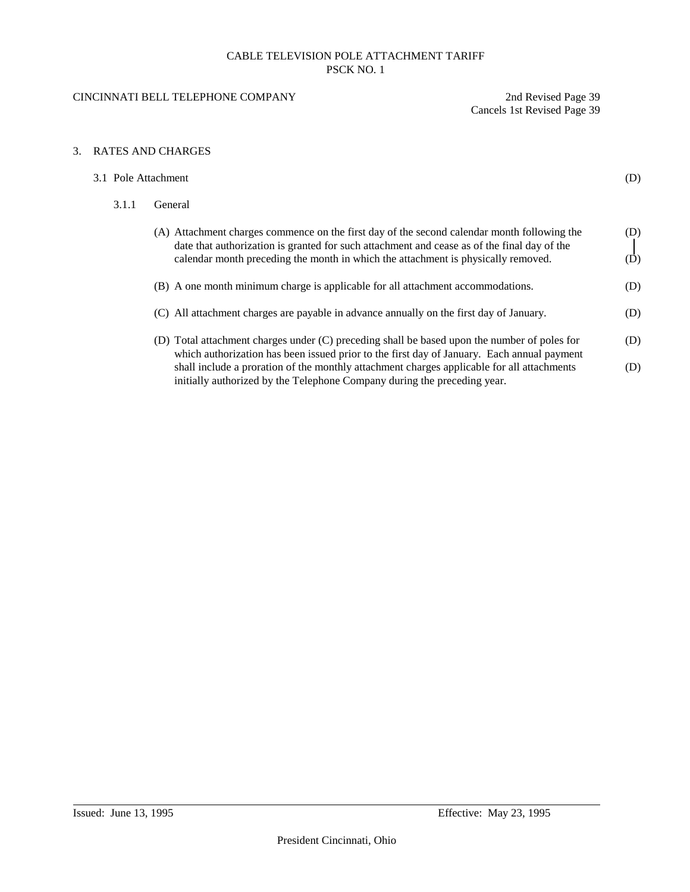## CINCINNATI BELL TELEPHONE COMPANY 2nd Revised Page 39

Cancels 1st Revised Page 39

## 3. RATES AND CHARGES

| 3.1 Pole Attachment |                                                                                                                                                                                                                                                                                 | (D)        |  |
|---------------------|---------------------------------------------------------------------------------------------------------------------------------------------------------------------------------------------------------------------------------------------------------------------------------|------------|--|
| 3.1.1               | General                                                                                                                                                                                                                                                                         |            |  |
|                     | (A) Attachment charges commence on the first day of the second calendar month following the<br>date that authorization is granted for such attachment and cease as of the final day of the<br>calendar month preceding the month in which the attachment is physically removed. | (D)<br>(D) |  |
|                     | (B) A one month minimum charge is applicable for all attachment accommodations.                                                                                                                                                                                                 | (D)        |  |
|                     | (C) All attachment charges are payable in advance annually on the first day of January.                                                                                                                                                                                         | (D)        |  |
|                     | (D) Total attachment charges under (C) preceding shall be based upon the number of poles for<br>which authorization has been issued prior to the first day of January. Each annual payment                                                                                      | (D)        |  |
|                     | shall include a proration of the monthly attachment charges applicable for all attachments<br>initially authorized by the Telephone Company during the preceding year.                                                                                                          | (D)        |  |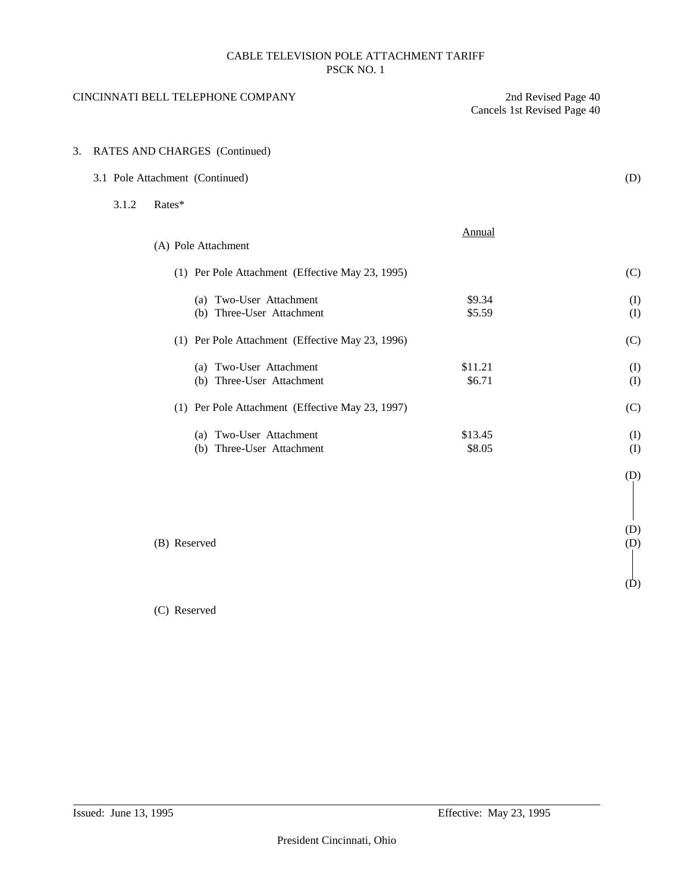|    |       | CINCINNATI BELL TELEPHONE COMPANY                    | 2nd Revised Page 40<br>Cancels 1st Revised Page 40 |            |
|----|-------|------------------------------------------------------|----------------------------------------------------|------------|
| 3. |       | RATES AND CHARGES (Continued)                        |                                                    |            |
|    |       | 3.1 Pole Attachment (Continued)                      |                                                    | (D)        |
|    | 3.1.2 | Rates*                                               |                                                    |            |
|    |       | (A) Pole Attachment                                  | Annual                                             |            |
|    |       | (1) Per Pole Attachment (Effective May 23, 1995)     |                                                    | (C)        |
|    |       | (a) Two-User Attachment<br>(b) Three-User Attachment | \$9.34<br>\$5.59                                   | (I)<br>(I) |
|    |       | (1) Per Pole Attachment (Effective May 23, 1996)     |                                                    | (C)        |
|    |       | (a) Two-User Attachment<br>(b) Three-User Attachment | \$11.21<br>\$6.71                                  | (I)<br>(I) |
|    |       | (1) Per Pole Attachment (Effective May 23, 1997)     |                                                    | (C)        |
|    |       | (a) Two-User Attachment<br>(b) Three-User Attachment | \$13.45<br>\$8.05                                  | (I)<br>(I) |
|    |       |                                                      |                                                    | (D)        |
|    |       | (B) Reserved                                         |                                                    | (D)<br>(D) |
|    |       |                                                      |                                                    | (D)        |

# (C) Reserved